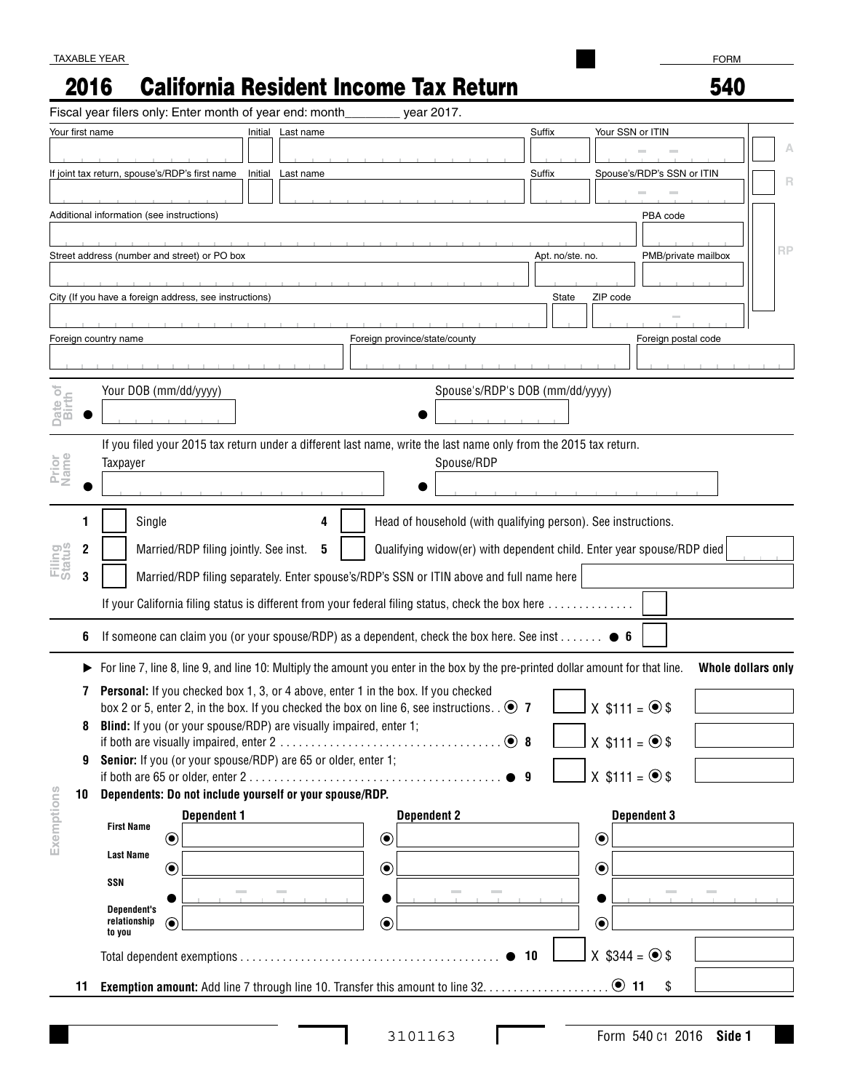# 2016 California Resident Income Tax Return

FORM 540

|                              | Fiscal year filers only: Enter month of year end: month                                                                                                                                      |                   | year 2017.                                                                               |                                 |                                |                    |
|------------------------------|----------------------------------------------------------------------------------------------------------------------------------------------------------------------------------------------|-------------------|------------------------------------------------------------------------------------------|---------------------------------|--------------------------------|--------------------|
| Your first name              |                                                                                                                                                                                              | Initial Last name |                                                                                          | Suffix                          | Your SSN or ITIN               |                    |
|                              |                                                                                                                                                                                              |                   |                                                                                          |                                 |                                | А                  |
|                              | If joint tax return, spouse's/RDP's first name                                                                                                                                               | Initial Last name |                                                                                          | Suffix                          | Spouse's/RDP's SSN or ITIN     | B                  |
|                              |                                                                                                                                                                                              |                   |                                                                                          |                                 |                                |                    |
|                              | Additional information (see instructions)                                                                                                                                                    |                   |                                                                                          |                                 | PBA code                       |                    |
|                              |                                                                                                                                                                                              |                   |                                                                                          |                                 |                                | <b>RP</b>          |
|                              | Street address (number and street) or PO box                                                                                                                                                 |                   |                                                                                          | Apt. no/ste. no.                | PMB/private mailbox            |                    |
|                              |                                                                                                                                                                                              |                   |                                                                                          |                                 |                                |                    |
|                              | City (If you have a foreign address, see instructions)                                                                                                                                       |                   |                                                                                          | State                           | ZIP code                       |                    |
|                              |                                                                                                                                                                                              |                   |                                                                                          |                                 |                                |                    |
|                              | Foreign country name                                                                                                                                                                         |                   | Foreign province/state/county                                                            |                                 | Foreign postal code            |                    |
|                              |                                                                                                                                                                                              |                   |                                                                                          |                                 |                                |                    |
| $\overline{\circ}$           | Your DOB (mm/dd/yyyy)                                                                                                                                                                        |                   |                                                                                          | Spouse's/RDP's DOB (mm/dd/yyyy) |                                |                    |
| Date<br>Birth                |                                                                                                                                                                                              |                   |                                                                                          |                                 |                                |                    |
|                              |                                                                                                                                                                                              |                   |                                                                                          |                                 |                                |                    |
|                              | If you filed your 2015 tax return under a different last name, write the last name only from the 2015 tax return.                                                                            |                   |                                                                                          |                                 |                                |                    |
| Prior<br>Name                | Taxpayer                                                                                                                                                                                     |                   | Spouse/RDP                                                                               |                                 |                                |                    |
|                              |                                                                                                                                                                                              |                   |                                                                                          |                                 |                                |                    |
|                              |                                                                                                                                                                                              |                   |                                                                                          |                                 |                                |                    |
|                              | Single                                                                                                                                                                                       | 4                 | Head of household (with qualifying person). See instructions.                            |                                 |                                |                    |
| <b>Filing</b><br>Status<br>2 | Qualifying widow(er) with dependent child. Enter year spouse/RDP died<br>Married/RDP filing jointly. See inst.<br>5                                                                          |                   |                                                                                          |                                 |                                |                    |
| 3                            |                                                                                                                                                                                              |                   | Married/RDP filing separately. Enter spouse's/RDP's SSN or ITIN above and full name here |                                 |                                |                    |
|                              | If your California filing status is different from your federal filing status, check the box here                                                                                            |                   |                                                                                          |                                 |                                |                    |
|                              |                                                                                                                                                                                              |                   |                                                                                          |                                 |                                |                    |
| 6                            | If someone can claim you (or your spouse/RDP) as a dependent, check the box here. See inst $\bullet$ 6                                                                                       |                   |                                                                                          |                                 |                                |                    |
|                              | ► For line 7, line 8, line 9, and line 10: Multiply the amount you enter in the box by the pre-printed dollar amount for that line.                                                          |                   |                                                                                          |                                 |                                | Whole dollars only |
|                              |                                                                                                                                                                                              |                   |                                                                                          |                                 |                                |                    |
| 7                            | <b>Personal:</b> If you checked box 1, 3, or 4 above, enter 1 in the box. If you checked<br>box 2 or 5, enter 2, in the box. If you checked the box on line 6, see instructions. . $\odot$ 7 |                   |                                                                                          |                                 | $JX$ \$111 = $\circledcirc$ \$ |                    |
|                              | Blind: If you (or your spouse/RDP) are visually impaired, enter 1;                                                                                                                           |                   |                                                                                          |                                 |                                |                    |
|                              |                                                                                                                                                                                              |                   |                                                                                          | $\odot$ 8                       | $X$ \$111 = $\odot$ \$         |                    |
| 9                            | Senior: If you (or your spouse/RDP) are 65 or older, enter 1;                                                                                                                                |                   |                                                                                          |                                 |                                |                    |
|                              |                                                                                                                                                                                              |                   |                                                                                          | $^{\bullet}$ 9                  | $X$ \$111 = $\circledcirc$ \$  |                    |
| 10                           | Dependents: Do not include yourself or your spouse/RDP.                                                                                                                                      |                   |                                                                                          |                                 |                                |                    |
|                              | <b>Dependent 1</b><br><b>First Name</b>                                                                                                                                                      |                   | <b>Dependent 2</b>                                                                       |                                 | <b>Dependent 3</b>             |                    |
| Exemptions                   | $\bigcirc$                                                                                                                                                                                   |                   | $\odot$                                                                                  |                                 | $\odot$                        |                    |
|                              | <b>Last Name</b><br>$\odot$                                                                                                                                                                  |                   | $\odot$                                                                                  |                                 | $\odot$                        |                    |
|                              | SSN                                                                                                                                                                                          |                   |                                                                                          |                                 |                                |                    |
|                              | <b>Dependent's</b>                                                                                                                                                                           |                   |                                                                                          |                                 |                                |                    |
|                              | relationship<br>$\odot$<br>to you                                                                                                                                                            |                   | $\odot$                                                                                  |                                 | $\odot$                        |                    |
|                              |                                                                                                                                                                                              |                   |                                                                                          |                                 |                                |                    |
|                              |                                                                                                                                                                                              |                   |                                                                                          |                                 |                                |                    |
|                              |                                                                                                                                                                                              |                   |                                                                                          | 10                              | $X$ \$344 = $\odot$ \$         |                    |

 $\mathbf{I}$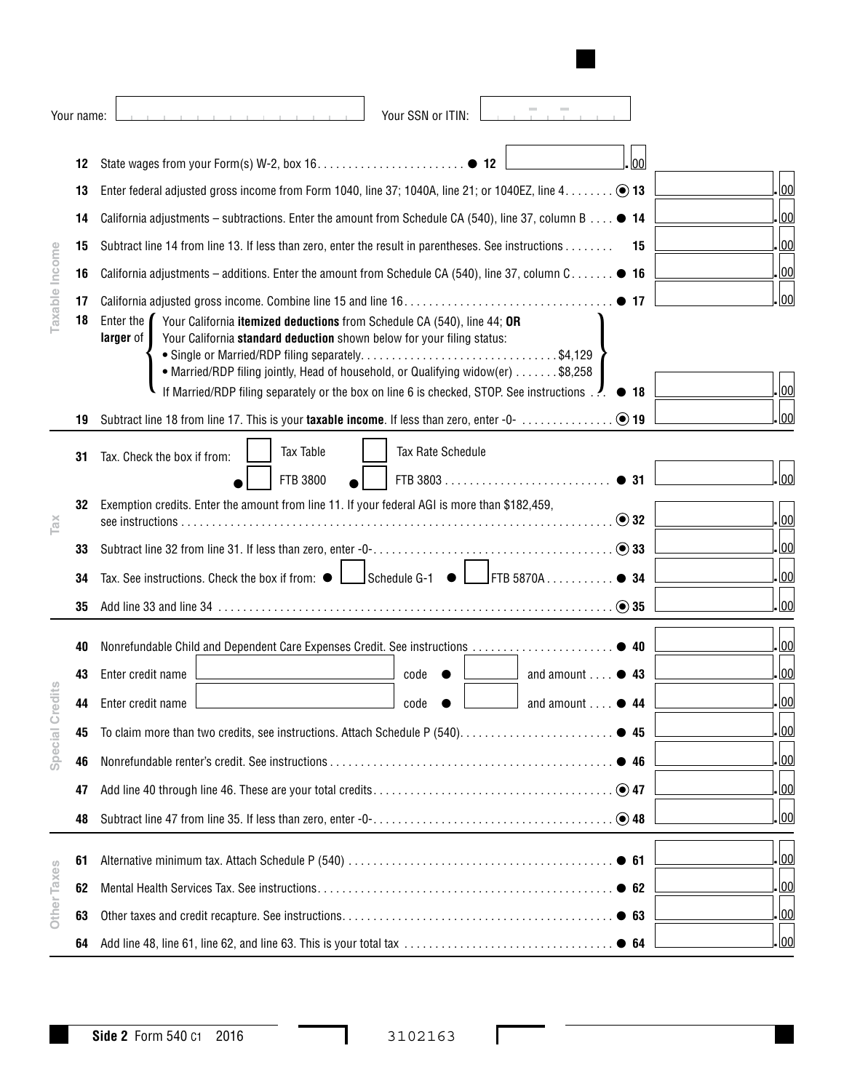|                | Your name: | Your SSN or ITIN:                                                                                                                                                                                                                                                                                                                                                                       |  |  |  |  |  |
|----------------|------------|-----------------------------------------------------------------------------------------------------------------------------------------------------------------------------------------------------------------------------------------------------------------------------------------------------------------------------------------------------------------------------------------|--|--|--|--|--|
|                | 12         | lool                                                                                                                                                                                                                                                                                                                                                                                    |  |  |  |  |  |
|                | 13         | 00                                                                                                                                                                                                                                                                                                                                                                                      |  |  |  |  |  |
|                | 14         | 00 <br>California adjustments – subtractions. Enter the amount from Schedule CA (540), line 37, column B $\bullet$ 14                                                                                                                                                                                                                                                                   |  |  |  |  |  |
|                | 15         | 00 <br>Subtract line 14 from line 13. If less than zero, enter the result in parentheses. See instructions<br>15                                                                                                                                                                                                                                                                        |  |  |  |  |  |
| Taxable Income | 16         | 00 <br>California adjustments – additions. Enter the amount from Schedule CA (540), line 37, column C $\bullet$ 16                                                                                                                                                                                                                                                                      |  |  |  |  |  |
|                | 17         | 00                                                                                                                                                                                                                                                                                                                                                                                      |  |  |  |  |  |
|                | 18         | Enter the $\blacksquare$<br>Your California itemized deductions from Schedule CA (540), line 44; OR<br>Your California standard deduction shown below for your filing status:<br>larger of<br>• Married/RDP filing jointly, Head of household, or Qualifying widow(er) \$8,258<br>If Married/RDP filing separately or the box on line 6 is checked, STOP. See instructions. ● 18<br> 00 |  |  |  |  |  |
|                | 19         | 00                                                                                                                                                                                                                                                                                                                                                                                      |  |  |  |  |  |
|                | 31         | <b>Tax Table</b><br>Tax Rate Schedule<br>Tax. Check the box if from:<br> 00                                                                                                                                                                                                                                                                                                             |  |  |  |  |  |
| TaX            | 32         | FTB 3800<br>Exemption credits. Enter the amount from line 11. If your federal AGI is more than \$182,459,<br>$\odot$ 32<br> 00                                                                                                                                                                                                                                                          |  |  |  |  |  |
|                | 33         | 00                                                                                                                                                                                                                                                                                                                                                                                      |  |  |  |  |  |
|                | 34         | 00 <br>$S$ chedule G-1 $\bullet$ $\Box$ FTB 5870A<br>$\bullet$ 34<br>Tax. See instructions. Check the box if from: $\bullet$                                                                                                                                                                                                                                                            |  |  |  |  |  |
|                | 35         | 00                                                                                                                                                                                                                                                                                                                                                                                      |  |  |  |  |  |
|                |            | 00                                                                                                                                                                                                                                                                                                                                                                                      |  |  |  |  |  |
|                | 40         | 00                                                                                                                                                                                                                                                                                                                                                                                      |  |  |  |  |  |
| dits           | 43         | Enter credit name<br>and amount $\ldots$ $\bullet$ 43<br>code                                                                                                                                                                                                                                                                                                                           |  |  |  |  |  |
|                | 44         | 00 <br>Enter credit name<br>$\Box$ code<br>$\Box$ and amount $\ldots$                                                                                                                                                                                                                                                                                                                   |  |  |  |  |  |
| Special Cre    | 45         | 00                                                                                                                                                                                                                                                                                                                                                                                      |  |  |  |  |  |
|                | 46         | 00                                                                                                                                                                                                                                                                                                                                                                                      |  |  |  |  |  |
|                | 47         | 00                                                                                                                                                                                                                                                                                                                                                                                      |  |  |  |  |  |
|                | 48         | 00                                                                                                                                                                                                                                                                                                                                                                                      |  |  |  |  |  |
|                | 61         | 00                                                                                                                                                                                                                                                                                                                                                                                      |  |  |  |  |  |
| Other Taxes    | 62         | 00                                                                                                                                                                                                                                                                                                                                                                                      |  |  |  |  |  |
|                | 63         | 00                                                                                                                                                                                                                                                                                                                                                                                      |  |  |  |  |  |
|                | 64         | 00                                                                                                                                                                                                                                                                                                                                                                                      |  |  |  |  |  |
|                |            |                                                                                                                                                                                                                                                                                                                                                                                         |  |  |  |  |  |

 $\Gamma$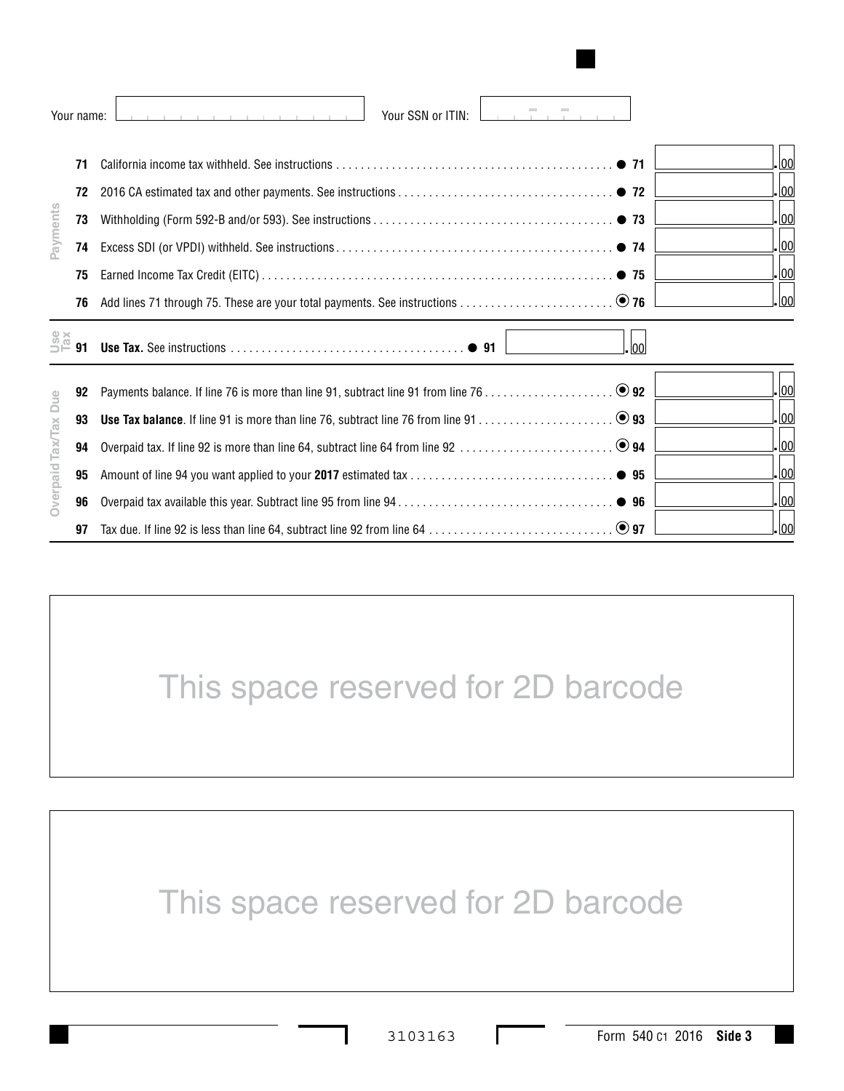|                      | Your name:                       | Your SSN or ITIN:<br>the contract of the contract of the contract of                    |
|----------------------|----------------------------------|-----------------------------------------------------------------------------------------|
| Payments             | 71<br>72<br>73<br>74<br>75       | lool.<br>$\bullet$ 71<br>- 00<br><u>. lool</u><br><u>. lool</u><br>- 00<br>$\bullet$ 75 |
|                      | 76                               | . lool                                                                                  |
| <b>J</b><br>Pax      | 91                               | lool                                                                                    |
| Overpaid Tax/Tax Due | 92<br>93<br>94<br>95<br>96<br>97 | <u>lool</u><br>$\log$<br>. 00<br><u>. lool</u><br>. 00<br>. lool                        |

# This space reserved for 2D barcode

This space reserved for 2D barcode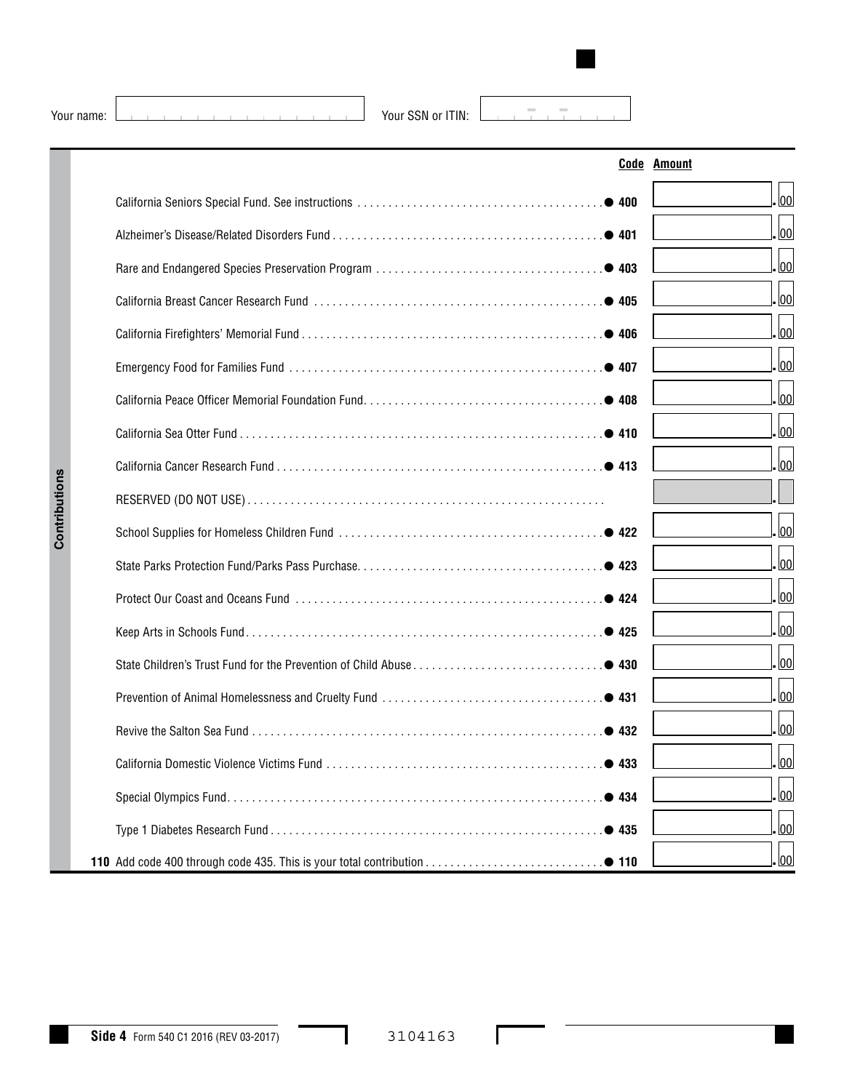Your name:  $\boxed{\phantom{a} \phantom{a}}$  Your SSN or ITIN:

 $\pm$  .  $\tau$  =  $\tau$ 

|  |                 | <b>Code Amount</b> |
|--|-----------------|--------------------|
|  |                 | 00                 |
|  |                 | 00                 |
|  |                 | 00                 |
|  |                 | 00                 |
|  |                 | 00                 |
|  |                 | 00                 |
|  |                 | 00                 |
|  |                 | 00                 |
|  |                 | 00                 |
|  |                 |                    |
|  |                 | 00                 |
|  |                 | 00                 |
|  |                 | 00                 |
|  |                 | 00                 |
|  |                 | 00                 |
|  |                 | 00                 |
|  |                 | 00                 |
|  | • 433           | <u>. lool</u>      |
|  | • 434           | 00                 |
|  | $. \bullet$ 435 | 00                 |
|  |                 | 00                 |

 $\Gamma$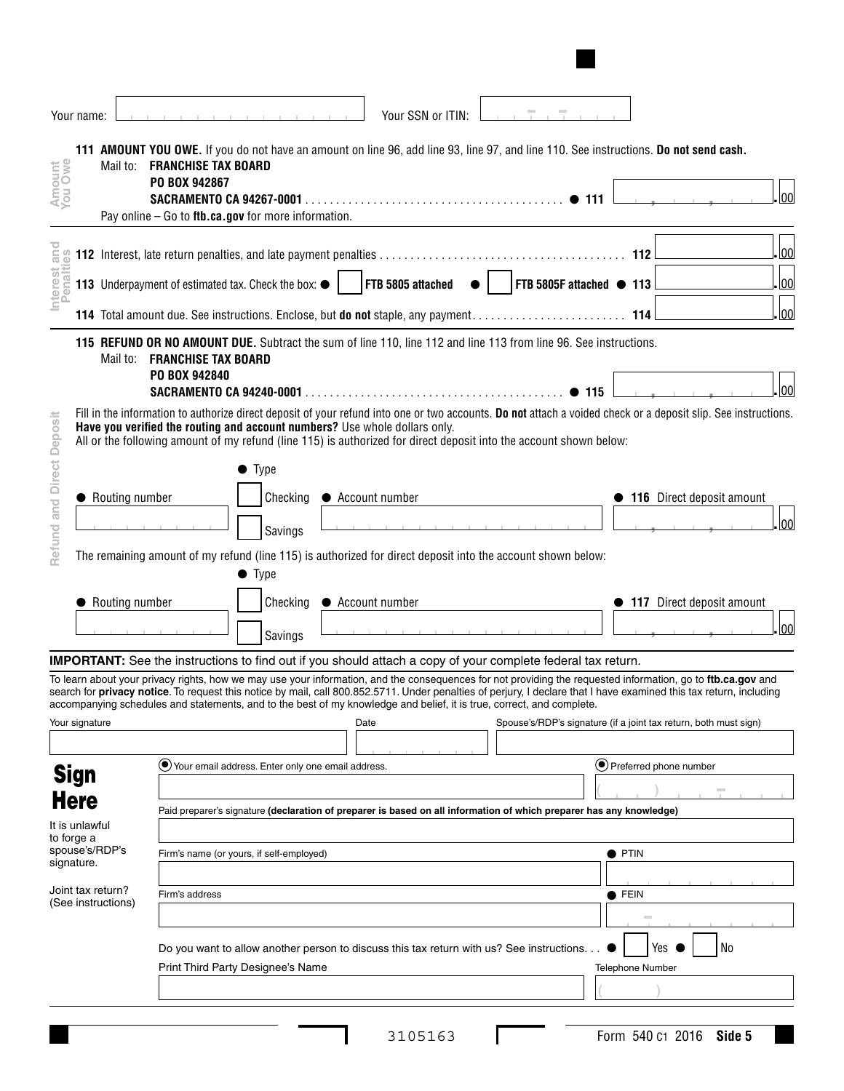|                                                                             | Your name:     |                                         |                                                      |                                                                                    | Your SSN or ITIN:                                                                                                                    |                          |                                                                                                                                                                                                                                                                                                                                                                                                        |
|-----------------------------------------------------------------------------|----------------|-----------------------------------------|------------------------------------------------------|------------------------------------------------------------------------------------|--------------------------------------------------------------------------------------------------------------------------------------|--------------------------|--------------------------------------------------------------------------------------------------------------------------------------------------------------------------------------------------------------------------------------------------------------------------------------------------------------------------------------------------------------------------------------------------------|
| Amount<br>You Owe                                                           |                |                                         | Mail to: <b>FRANCHISE TAX BOARD</b><br>PO BOX 942867 | Pay online $-$ Go to ftb.ca.gov for more information.                              | 111 AMOUNT YOU OWE. If you do not have an amount on line 96, add line 93, line 97, and line 110. See instructions. Do not send cash. | $\bullet$ 111            | lool                                                                                                                                                                                                                                                                                                                                                                                                   |
|                                                                             |                |                                         |                                                      |                                                                                    |                                                                                                                                      |                          | 00 <br>112                                                                                                                                                                                                                                                                                                                                                                                             |
| nterest and                                                                 |                |                                         |                                                      | 113 Underpayment of estimated tax. Check the box: $\bullet$                        | FTB 5805 attached                                                                                                                    | FTB 5805F attached • 113 | 00                                                                                                                                                                                                                                                                                                                                                                                                     |
|                                                                             |                |                                         |                                                      |                                                                                    |                                                                                                                                      |                          | 00                                                                                                                                                                                                                                                                                                                                                                                                     |
|                                                                             |                | Mail to:                                | <b>FRANCHISE TAX BOARD</b><br>PO BOX 942840          |                                                                                    | 115 REFUND OR NO AMOUNT DUE. Subtract the sum of line 110, line 112 and line 113 from line 96. See instructions.                     | $\bullet$ 115            | 100                                                                                                                                                                                                                                                                                                                                                                                                    |
| Refund and Direct Deposit                                                   |                |                                         |                                                      | Have you verified the routing and account numbers? Use whole dollars only.<br>Type | All or the following amount of my refund (line 115) is authorized for direct deposit into the account shown below:                   |                          | Fill in the information to authorize direct deposit of your refund into one or two accounts. Do not attach a voided check or a deposit slip. See instructions.                                                                                                                                                                                                                                         |
|                                                                             |                | Routing number                          |                                                      | Checking                                                                           | • Account number                                                                                                                     |                          | • 116 Direct deposit amount<br> 00                                                                                                                                                                                                                                                                                                                                                                     |
|                                                                             |                | Routing number                          |                                                      | Savings<br>$\bullet$ Type<br>Checking                                              | The remaining amount of my refund (line 115) is authorized for direct deposit into the account shown below:<br>• Account number      |                          | • 117 Direct deposit amount                                                                                                                                                                                                                                                                                                                                                                            |
|                                                                             |                |                                         |                                                      | Savings                                                                            |                                                                                                                                      |                          | lool                                                                                                                                                                                                                                                                                                                                                                                                   |
|                                                                             |                |                                         |                                                      |                                                                                    | IMPORTANT: See the instructions to find out if you should attach a copy of your complete federal tax return.                         |                          |                                                                                                                                                                                                                                                                                                                                                                                                        |
|                                                                             | Your signature |                                         |                                                      |                                                                                    | accompanying schedules and statements, and to the best of my knowledge and belief, it is true, correct, and complete.<br>Date        |                          | To learn about your privacy rights, how we may use your information, and the consequences for not providing the requested information, go to ftb.ca.gov and<br>search for privacy notice. To request this notice by mail, call 800.852.5711. Under penalties of perjury, I declare that I have examined this tax return, including<br>Spouse's/RDP's signature (if a joint tax return, both must sign) |
|                                                                             | <b>Sign</b>    |                                         |                                                      | Vour email address. Enter only one email address.                                  |                                                                                                                                      |                          | ● Preferred phone number                                                                                                                                                                                                                                                                                                                                                                               |
| <b>Here</b><br>It is unlawful<br>to forge a<br>spouse's/RDP's<br>signature. |                |                                         |                                                      |                                                                                    | Paid preparer's signature (declaration of preparer is based on all information of which preparer has any knowledge)                  |                          |                                                                                                                                                                                                                                                                                                                                                                                                        |
|                                                                             |                |                                         |                                                      | Firm's name (or yours, if self-employed)                                           |                                                                                                                                      |                          | $\bullet$ PTIN                                                                                                                                                                                                                                                                                                                                                                                         |
|                                                                             |                | Joint tax return?<br>(See instructions) | Firm's address                                       |                                                                                    |                                                                                                                                      |                          | $\bullet$ Fein                                                                                                                                                                                                                                                                                                                                                                                         |
|                                                                             |                |                                         |                                                      | Print Third Party Designee's Name                                                  | Do you want to allow another person to discuss this tax return with us? See instructions.                                            |                          | No<br>Yes<br>Telephone Number                                                                                                                                                                                                                                                                                                                                                                          |
|                                                                             |                |                                         |                                                      |                                                                                    |                                                                                                                                      |                          |                                                                                                                                                                                                                                                                                                                                                                                                        |

Г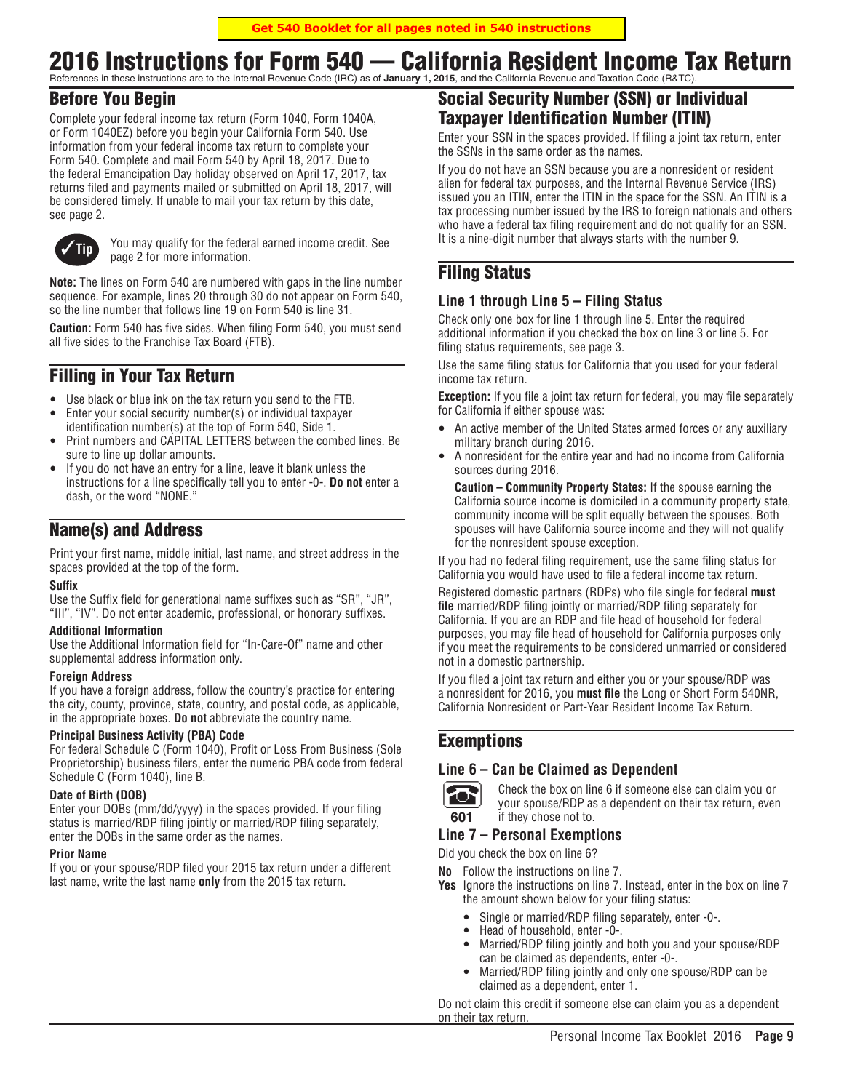# 2016 Instructions for Form 540 — California Resident Income Tax Return

References in these instructions are to the Internal Revenue Code (IRC) as of **January 1, 2015**, and the California Revenue and Taxation Code (R&TC).

# Before You Begin

Complete your federal income tax return (Form 1040, Form 1040A, or Form 1040EZ) before you begin your California Form 540. Use information from your federal income tax return to complete your Form 540. Complete and mail Form 540 by April 18, 2017. Due to the federal Emancipation Day holiday observed on April 17, 2017, tax returns filed and payments mailed or submitted on April 18, 2017, will be considered timely. If unable to mail your tax return by this date, see page 2.



**Tip** You may qualify for the federal earned income credit. See page 2 for more information.

**Note:** The lines on Form 540 are numbered with gaps in the line number sequence. For example, lines 20 through 30 do not appear on Form 540, so the line number that follows line 19 on Form 540 is line 31.

**Caution:** Form 540 has five sides. When filing Form 540, you must send all five sides to the Franchise Tax Board (FTB).

# Filling in Your Tax Return

- Use black or blue ink on the tax return you send to the FTB.
- Enter your social security number(s) or individual taxpayer identification number(s) at the top of Form 540, Side 1.
- Print numbers and CAPITAL LETTERS between the combed lines. Be sure to line up dollar amounts.
- If you do not have an entry for a line, leave it blank unless the instructions for a line specifically tell you to enter -0-. **Do not** enter a dash, or the word "NONE."

# Name(s) and Address

Print your first name, middle initial, last name, and street address in the spaces provided at the top of the form.

#### **Suffix**

Use the Suffix field for generational name suffixes such as "SR", "JR", "III", "IV". Do not enter academic, professional, or honorary suffixes.

#### **Additional Information**

Use the Additional Information field for "In-Care-Of" name and other supplemental address information only.

#### **Foreign Address**

If you have a foreign address, follow the country's practice for entering the city, county, province, state, country, and postal code, as applicable, in the appropriate boxes. **Do not** abbreviate the country name.

#### **Principal Business Activity (PBA) Code**

For federal Schedule C (Form 1040), Profit or Loss From Business (Sole Proprietorship) business filers, enter the numeric PBA code from federal Schedule C (Form 1040), line B.

#### **Date of Birth (DOB)**

Enter your DOBs (mm/dd/yyyy) in the spaces provided. If your filing status is married/RDP filing jointly or married/RDP filing separately, enter the DOBs in the same order as the names.

#### **Prior Name**

If you or your spouse/RDP filed your 2015 tax return under a different last name, write the last name **only** from the 2015 tax return.

# Social Security Number (SSN) or Individual Taxpayer Identification Number (ITIN)

Enter your SSN in the spaces provided. If filing a joint tax return, enter the SSNs in the same order as the names.

If you do not have an SSN because you are a nonresident or resident alien for federal tax purposes, and the Internal Revenue Service (IRS) issued you an ITIN, enter the ITIN in the space for the SSN. An ITIN is a tax processing number issued by the IRS to foreign nationals and others who have a federal tax filing requirement and do not qualify for an SSN. It is a nine-digit number that always starts with the number 9.

# Filing Status

## **Line 1 through Line 5 – Filing Status**

Check only one box for line 1 through line 5. Enter the required additional information if you checked the box on line 3 or line 5. For filing status requirements, see page 3.

Use the same filing status for California that you used for your federal income tax return.

**Exception:** If you file a joint tax return for federal, you may file separately for California if either spouse was:

- An active member of the United States armed forces or any auxiliary military branch during 2016.
- A nonresident for the entire year and had no income from California sources during 2016.

**Caution – Community Property States:** If the spouse earning the California source income is domiciled in a community property state, community income will be split equally between the spouses. Both spouses will have California source income and they will not qualify for the nonresident spouse exception.

If you had no federal filing requirement, use the same filing status for California you would have used to file a federal income tax return.

Registered domestic partners (RDPs) who file single for federal **must file** married/RDP filing jointly or married/RDP filing separately for California. If you are an RDP and file head of household for federal purposes, you may file head of household for California purposes only if you meet the requirements to be considered unmarried or considered not in a domestic partnership.

If you filed a joint tax return and either you or your spouse/RDP was a nonresident for 2016, you **must file** the Long or Short Form 540NR, California Nonresident or Part-Year Resident Income Tax Return.

## Exemptions

### **Line 6 – Can be Claimed as Dependent**



Check the box on line 6 if someone else can claim you or your spouse/RDP as a dependent on their tax return, even if they chose not to.

### **Line 7 – Personal Exemptions**

Did you check the box on line 6?

- **No** Follow the instructions on line 7.
- **Yes** Ignore the instructions on line 7. Instead, enter in the box on line 7 the amount shown below for your filing status:
	- Single or married/RDP filing separately, enter -0-.
	- Head of household, enter -0-.
	- Married/RDP filing jointly and both you and your spouse/RDP can be claimed as dependents, enter -0-.
	- Married/RDP filing jointly and only one spouse/RDP can be claimed as a dependent, enter 1.

Do not claim this credit if someone else can claim you as a dependent on their tax return.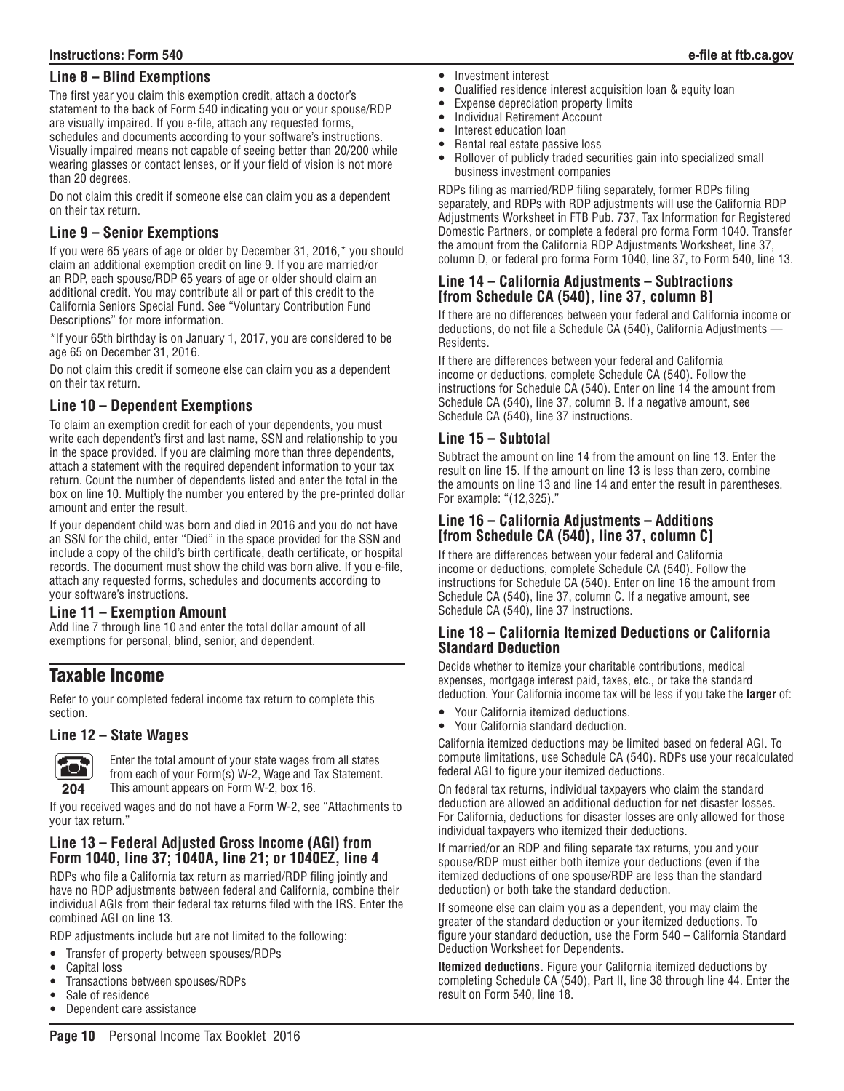## **Line 8 – Blind Exemptions**

The first year you claim this exemption credit, attach a doctor's statement to the back of Form 540 indicating you or your spouse/RDP are visually impaired. If you e-file, attach any requested forms, schedules and documents according to your software's instructions. Visually impaired means not capable of seeing better than 20/200 while wearing glasses or contact lenses, or if your field of vision is not more than 20 degrees.

Do not claim this credit if someone else can claim you as a dependent on their tax return.

## **Line 9 – Senior Exemptions**

If you were 65 years of age or older by December 31, 2016,\* you should claim an additional exemption credit on line 9. If you are married/or an RDP, each spouse/RDP 65 years of age or older should claim an additional credit. You may contribute all or part of this credit to the California Seniors Special Fund. See "Voluntary Contribution Fund Descriptions" for more information.

\*If your 65th birthday is on January 1, 2017, you are considered to be age 65 on December 31, 2016.

Do not claim this credit if someone else can claim you as a dependent on their tax return.

## **Line 10 – Dependent Exemptions**

To claim an exemption credit for each of your dependents, you must write each dependent's first and last name, SSN and relationship to you in the space provided. If you are claiming more than three dependents, attach a statement with the required dependent information to your tax return. Count the number of dependents listed and enter the total in the box on line 10. Multiply the number you entered by the pre-printed dollar amount and enter the result.

If your dependent child was born and died in 2016 and you do not have an SSN for the child, enter "Died" in the space provided for the SSN and include a copy of the child's birth certificate, death certificate, or hospital records. The document must show the child was born alive. If you e-file, attach any requested forms, schedules and documents according to your software's instructions.

### **Line 11 – Exemption Amount**

Add line 7 through line 10 and enter the total dollar amount of all exemptions for personal, blind, senior, and dependent.

# Taxable Income

Refer to your completed federal income tax return to complete this section.

### **Line 12 – State Wages**



Enter the total amount of your state wages from all states from each of your Form(s) W-2, Wage and Tax Statement. This amount appears on Form W-2, box 16.

If you received wages and do not have a Form W-2, see "Attachments to your tax return."

## **Line 13 – Federal Adjusted Gross Income (AGI) from Form 1040, line 37; 1040A, line 21; or 1040EZ, line 4**

RDPs who file a California tax return as married/RDP filing jointly and have no RDP adjustments between federal and California, combine their individual AGIs from their federal tax returns filed with the IRS. Enter the combined AGI on line 13.

RDP adjustments include but are not limited to the following:

- Transfer of property between spouses/RDPs
- Capital loss
- Transactions between spouses/RDPs
- Sale of residence
- Dependent care assistance
- Investment interest
- Qualified residence interest acquisition loan & equity loan
- Expense depreciation property limits
- Individual Retirement Account
- Interest education loan
- Rental real estate passive loss
- Rollover of publicly traded securities gain into specialized small business investment companies

RDPs filing as married/RDP filing separately, former RDPs filing separately, and RDPs with RDP adjustments will use the California RDP Adjustments Worksheet in FTB Pub. 737, Tax Information for Registered Domestic Partners, or complete a federal pro forma Form 1040. Transfer the amount from the California RDP Adjustments Worksheet, line 37, column D, or federal pro forma Form 1040, line 37, to Form 540, line 13.

## **Line 14 – California Adjustments – Subtractions [from Schedule CA (540), line 37, column B]**

If there are no differences between your federal and California income or deductions, do not file a Schedule CA (540), California Adjustments — Residents.

If there are differences between your federal and California income or deductions, complete Schedule CA (540). Follow the instructions for Schedule CA (540). Enter on line 14 the amount from Schedule CA (540), line 37, column B. If a negative amount, see Schedule CA (540), line 37 instructions.

### **Line 15 – Subtotal**

Subtract the amount on line 14 from the amount on line 13. Enter the result on line 15. If the amount on line 13 is less than zero, combine the amounts on line 13 and line 14 and enter the result in parentheses. For example: "(12,325)."

#### **Line 16 – California Adjustments – Additions [from Schedule CA (540), line 37, column C]**

If there are differences between your federal and California income or deductions, complete Schedule CA (540). Follow the instructions for Schedule CA (540). Enter on line 16 the amount from Schedule CA (540), line 37, column C. If a negative amount, see Schedule CA (540), line 37 instructions.

#### **Line 18 – California Itemized Deductions or California Standard Deduction**

Decide whether to itemize your charitable contributions, medical expenses, mortgage interest paid, taxes, etc., or take the standard deduction. Your California income tax will be less if you take the **larger** of:

- Your California itemized deductions.
- Your California standard deduction.

California itemized deductions may be limited based on federal AGI. To compute limitations, use Schedule CA (540). RDPs use your recalculated federal AGI to figure your itemized deductions.

On federal tax returns, individual taxpayers who claim the standard deduction are allowed an additional deduction for net disaster losses. For California, deductions for disaster losses are only allowed for those individual taxpayers who itemized their deductions.

If married/or an RDP and filing separate tax returns, you and your spouse/RDP must either both itemize your deductions (even if the itemized deductions of one spouse/RDP are less than the standard deduction) or both take the standard deduction.

If someone else can claim you as a dependent, you may claim the greater of the standard deduction or your itemized deductions. To figure your standard deduction, use the Form 540 – California Standard Deduction Worksheet for Dependents.

**Itemized deductions.** Figure your California itemized deductions by completing Schedule CA (540), Part II, line 38 through line 44. Enter the result on Form 540, line 18.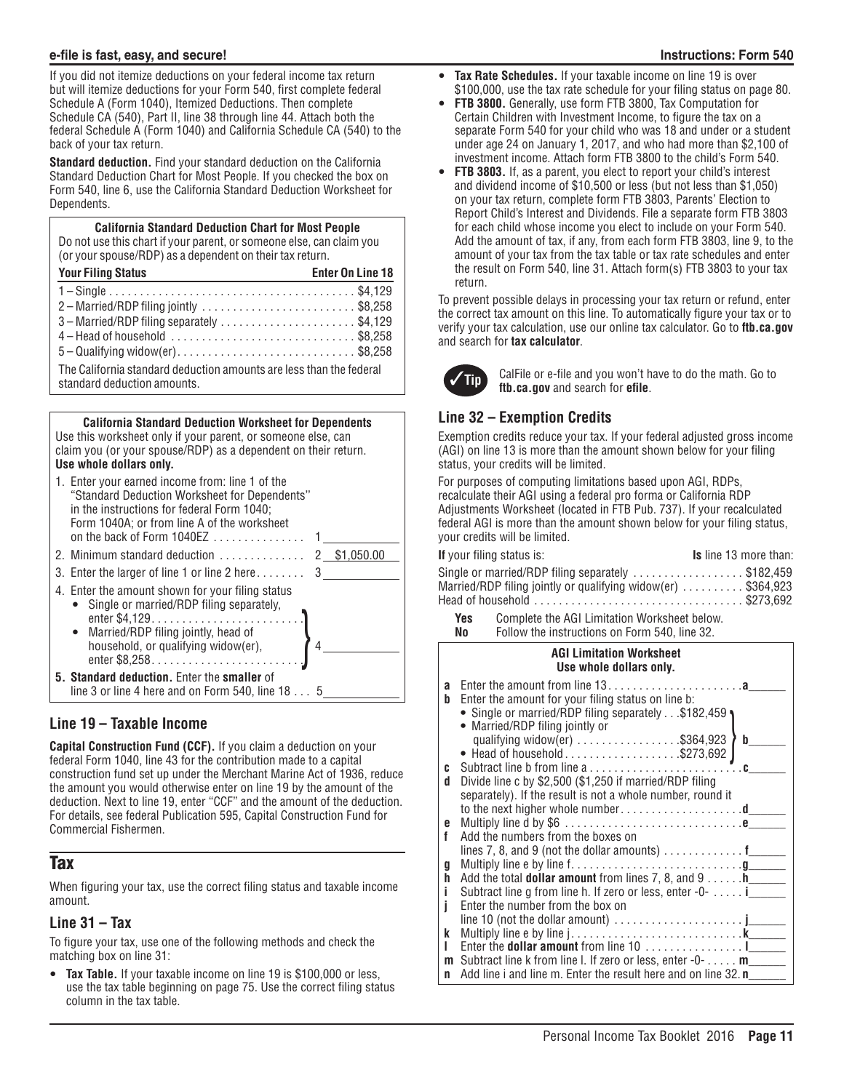If you did not itemize deductions on your federal income tax return but will itemize deductions for your Form 540, first complete federal Schedule A (Form 1040), Itemized Deductions. Then complete Schedule CA (540), Part II, line 38 through line 44. Attach both the federal Schedule A (Form 1040) and California Schedule CA (540) to the back of your tax return.

**Standard deduction.** Find your standard deduction on the California Standard Deduction Chart for Most People. If you checked the box on Form 540, line 6, use the California Standard Deduction Worksheet for Dependents.

#### **California Standard Deduction Chart for Most People** Do not use this chart if your parent, or someone else, can claim you (or your spouse/RDP) as a dependent on their tax return.

| <b>Your Filing Status</b>                                                                          | <b>Enter On Line 18</b> |
|----------------------------------------------------------------------------------------------------|-------------------------|
|                                                                                                    |                         |
| 2-Married/RDP filing jointly \$8,258                                                               |                         |
| 3 - Married/RDP filing separately \$4,129                                                          |                         |
| $4 -$ Head of household $\ldots \ldots \ldots \ldots \ldots \ldots \ldots \ldots$ \$8,258          |                         |
| $5 -$ Qualifying widow(er)\$8,258                                                                  |                         |
| The California standard deduction amounts are less than the federal<br>standard deduction amounts. |                         |

#### **California Standard Deduction Worksheet for Dependents** Use this worksheet only if your parent, or someone else, can claim you (or your spouse/RDP) as a dependent on their return. **Use whole dollars only.**

| 1. Enter your earned income from: line 1 of the<br>"Standard Deduction Worksheet for Dependents"<br>in the instructions for federal Form 1040;<br>Form 1040A; or from line A of the worksheet |  |
|-----------------------------------------------------------------------------------------------------------------------------------------------------------------------------------------------|--|
|                                                                                                                                                                                               |  |
|                                                                                                                                                                                               |  |
| 4. Enter the amount shown for your filing status<br>• Single or married/RDP filing separately,<br>• Married/RDP filing jointly, head of<br>household, or qualifying widow(er),                |  |
| 5. Standard deduction. Enter the smaller of<br>line 3 or line 4 here and on Form 540, line $185$                                                                                              |  |

## **Line 19 – Taxable Income**

**Capital Construction Fund (CCF).** If you claim a deduction on your federal Form 1040, line 43 for the contribution made to a capital construction fund set up under the Merchant Marine Act of 1936, reduce the amount you would otherwise enter on line 19 by the amount of the deduction. Next to line 19, enter "CCF" and the amount of the deduction. For details, see federal Publication 595, Capital Construction Fund for Commercial Fishermen.

# **Tax**

When figuring your tax, use the correct filing status and taxable income amount.

### **Line 31 – Tax**

To figure your tax, use one of the following methods and check the matching box on line 31:

**Tax Table.** If your taxable income on line 19 is \$100,000 or less, use the tax table beginning on page 75. Use the correct filing status column in the tax table.

- Tax Rate Schedules. If your taxable income on line 19 is over \$100,000, use the tax rate schedule for your filing status on page 80.
- **FTB 3800.** Generally, use form FTB 3800, Tax Computation for Certain Children with Investment Income, to figure the tax on a separate Form 540 for your child who was 18 and under or a student under age 24 on January 1, 2017, and who had more than \$2,100 of investment income. Attach form FTB 3800 to the child's Form 540.
- FTB 3803. If, as a parent, you elect to report your child's interest and dividend income of \$10,500 or less (but not less than \$1,050) on your tax return, complete form FTB 3803, Parents' Election to Report Child's Interest and Dividends. File a separate form FTB 3803 for each child whose income you elect to include on your Form 540. Add the amount of tax, if any, from each form FTB 3803, line 9, to the amount of your tax from the tax table or tax rate schedules and enter the result on Form 540, line 31. Attach form(s) FTB 3803 to your tax return.

To prevent possible delays in processing your tax return or refund, enter the correct tax amount on this line. To automatically figure your tax or to verify your tax calculation, use our online tax calculator. Go to **ftb.ca.gov**  and search for **tax calculator**.



**Tip** CalFile or e-file and you won't have to do the math. Go to **ftb.ca.gov** and search for **efile**.

# **Line 32 – Exemption Credits**

Exemption credits reduce your tax. If your federal adjusted gross income (AGI) on line 13 is more than the amount shown below for your filing status, your credits will be limited.

For purposes of computing limitations based upon AGI, RDPs, recalculate their AGI using a federal pro forma or California RDP Adjustments Worksheet (located in FTB Pub. 737). If your recalculated federal AGI is more than the amount shown below for your filing status, your credits will be limited.

| <b>If</b> your filing status is:                                                       | <b>Is</b> line 13 more than: |
|----------------------------------------------------------------------------------------|------------------------------|
| Single or married/RDP filing separately $\ldots \ldots \ldots \ldots \ldots$ \$182,459 |                              |
| Married/RDP filing jointly or qualifying widow(er)  \$364,923                          |                              |
|                                                                                        |                              |
|                                                                                        |                              |

**Yes** Complete the AGI Limitation Worksheet below.

|                    | Follow the instructions on Form 540, line 32.<br>No                                                                                                                                                                                              |  |
|--------------------|--------------------------------------------------------------------------------------------------------------------------------------------------------------------------------------------------------------------------------------------------|--|
|                    | <b>AGI Limitation Worksheet</b><br>Use whole dollars only.                                                                                                                                                                                       |  |
| a<br>b             | Enter the amount from line $13, \ldots, \ldots, \ldots, \ldots, \ldots, a$<br>Enter the amount for your filing status on line b:<br>• Single or married/RDP filing separately\$182,459 •<br>• Married/RDP filing jointly or<br>b                 |  |
| C<br>d             | qualifying widow(er) \$364,923<br>• Head of household\$273,692<br>Divide line c by \$2,500 (\$1,250 if married/RDP filing<br>separately). If the result is not a whole number, round it<br>to the next higher whole numberd_____                 |  |
| e<br>f             | Add the numbers from the boxes on<br>lines 7, 8, and 9 (not the dollar amounts) $\dots \dots \dots$                                                                                                                                              |  |
| g<br>h<br>i.<br>j. | Add the total <b>dollar amount</b> from lines 7, 8, and 9 h______<br>Subtract line g from line h. If zero or less, enter -0- i_____<br>Enter the number from the box on<br>line 10 (not the dollar amount) $\dots \dots \dots \dots \dots \dots$ |  |
| k<br>L<br>m<br>n   | Subtract line k from line l. If zero or less, enter $-0$ - m<br>Add line i and line m. Enter the result here and on line 32. n                                                                                                                   |  |
|                    |                                                                                                                                                                                                                                                  |  |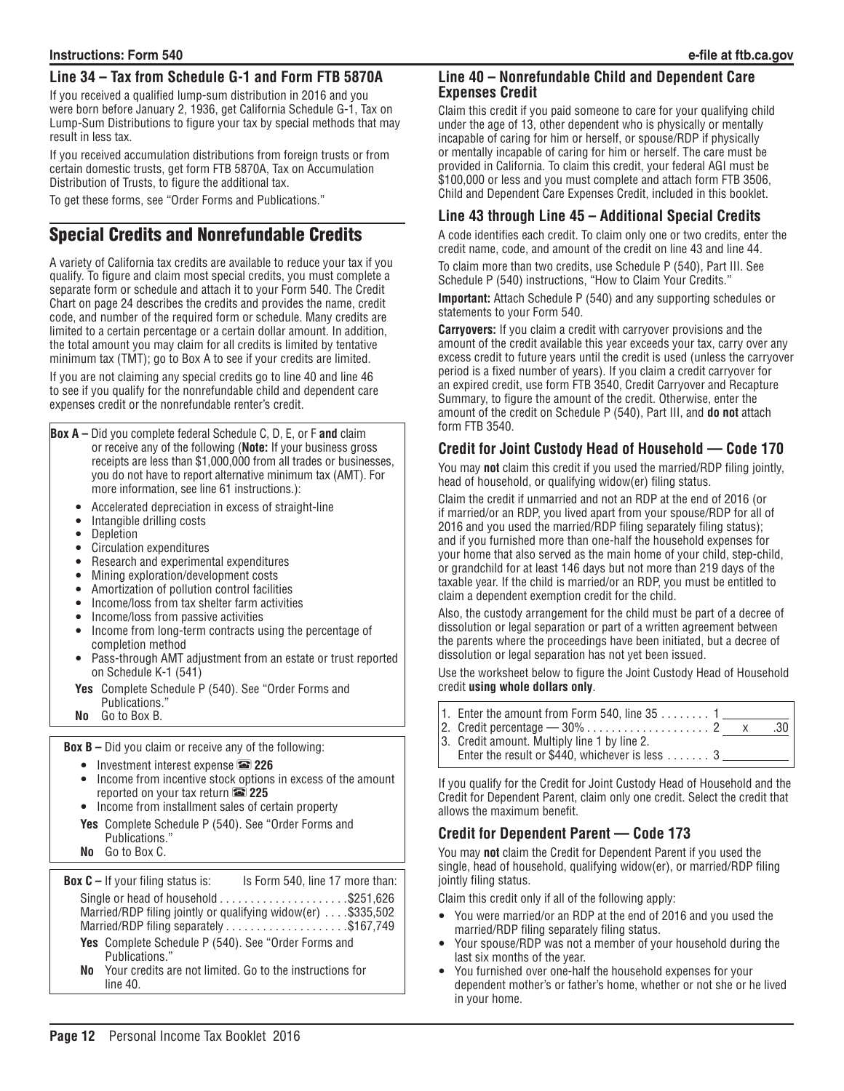## **Line 34 – Tax from Schedule G-1 and Form FTB 5870A**

If you received a qualified lump-sum distribution in 2016 and you were born before January 2, 1936, get California Schedule G-1, Tax on Lump-Sum Distributions to figure your tax by special methods that may result in less tax.

If you received accumulation distributions from foreign trusts or from certain domestic trusts, get form FTB 5870A, Tax on Accumulation Distribution of Trusts, to figure the additional tax.

To get these forms, see "Order Forms and Publications."

# Special Credits and Nonrefundable Credits

A variety of California tax credits are available to reduce your tax if you qualify. To figure and claim most special credits, you must complete a separate form or schedule and attach it to your Form 540. The Credit Chart on page 24 describes the credits and provides the name, credit code, and number of the required form or schedule. Many credits are limited to a certain percentage or a certain dollar amount. In addition, the total amount you may claim for all credits is limited by tentative minimum tax (TMT); go to Box A to see if your credits are limited.

If you are not claiming any special credits go to line 40 and line 46 to see if you qualify for the nonrefundable child and dependent care expenses credit or the nonrefundable renter's credit.

- **Box A –** Did you complete federal Schedule C, D, E, or F **and** claim or receive any of the following (**Note:** If your business gross receipts are less than \$1,000,000 from all trades or businesses, you do not have to report alternative minimum tax (AMT). For more information, see line 61 instructions.):
	- Accelerated depreciation in excess of straight-line<br>• Intangible drilling costs
	- Intangible drilling costs
	- Depletion
	- Circulation expenditures
	- Research and experimental expenditures
	- Mining exploration/development costs<br>• Amortization of pollution control faciliti
	- Amortization of pollution control facilities
	- Income/loss from tax shelter farm activities
	- Income/loss from passive activities
	- Income from long-term contracts using the percentage of completion method
	- Pass-through AMT adjustment from an estate or trust reported on Schedule K-1 (541)
	- **Yes** Complete Schedule P (540). See "Order Forms and Publications."
	- **No** Go to Box B.

**Box B –** Did you claim or receive any of the following:

- y Investment interest expense & **226**
- Income from incentive stock options in excess of the amount reported on your tax return & **225**
- Income from installment sales of certain property
- **Yes** Complete Schedule P (540). See "Order Forms and Publications."
- **No** Go to Box C.

**Box C** – If your filing status is: Is Form 540, line 17 more than: Single or head of household  $\ldots \ldots \ldots \ldots \ldots$ \$251,626 Married/RDP filing jointly or qualifying widow(er)  $\dots$  \$335,502 Married/RDP filing separately  $\dots\dots\dots\dots\dots$ \$167,749 **Yes** Complete Schedule P (540). See "Order Forms and

Publications." **No** Your credits are not limited. Go to the instructions for line 40.

#### **Line 40 – Nonrefundable Child and Dependent Care Expenses Credit**

Claim this credit if you paid someone to care for your qualifying child under the age of 13, other dependent who is physically or mentally incapable of caring for him or herself, or spouse/RDP if physically or mentally incapable of caring for him or herself. The care must be provided in California. To claim this credit, your federal AGI must be \$100,000 or less and you must complete and attach form FTB 3506, Child and Dependent Care Expenses Credit, included in this booklet.

## **Line 43 through Line 45 – Additional Special Credits**

A code identifies each credit. To claim only one or two credits, enter the credit name, code, and amount of the credit on line 43 and line 44.

To claim more than two credits, use Schedule P (540), Part III. See Schedule P (540) instructions, "How to Claim Your Credits."

**Important:** Attach Schedule P (540) and any supporting schedules or statements to your Form 540.

**Carryovers:** If you claim a credit with carryover provisions and the amount of the credit available this year exceeds your tax, carry over any excess credit to future years until the credit is used (unless the carryover period is a fixed number of years). If you claim a credit carryover for an expired credit, use form FTB 3540, Credit Carryover and Recapture Summary, to figure the amount of the credit. Otherwise, enter the amount of the credit on Schedule P (540), Part III, and **do not** attach form FTB 3540.

## **Credit for Joint Custody Head of Household — Code 170**

You may **not** claim this credit if you used the married/RDP filing jointly, head of household, or qualifying widow(er) filing status.

Claim the credit if unmarried and not an RDP at the end of 2016 (or if married/or an RDP, you lived apart from your spouse/RDP for all of 2016 and you used the married/RDP filing separately filing status); and if you furnished more than one-half the household expenses for your home that also served as the main home of your child, step-child, or grandchild for at least 146 days but not more than 219 days of the taxable year. If the child is married/or an RDP, you must be entitled to claim a dependent exemption credit for the child.

Also, the custody arrangement for the child must be part of a decree of dissolution or legal separation or part of a written agreement between the parents where the proceedings have been initiated, but a decree of dissolution or legal separation has not yet been issued.

Use the worksheet below to figure the Joint Custody Head of Household credit **using whole dollars only**.

1. Enter the amount from Form 540, line  $35... \ldots 1$ 2. Credit percentage — 30% . . 2 x .30 3. Credit amount. Multiply line 1 by line 2. Enter the result or \$440, whichever is less  $\dots \dots$  3

If you qualify for the Credit for Joint Custody Head of Household and the Credit for Dependent Parent, claim only one credit. Select the credit that allows the maximum benefit.

# **Credit for Dependent Parent — Code 173**

You may **not** claim the Credit for Dependent Parent if you used the single, head of household, qualifying widow(er), or married/RDP filing jointly filing status.

Claim this credit only if all of the following apply:

- You were married/or an RDP at the end of 2016 and you used the married/RDP filing separately filing status.
- y Your spouse/RDP was not a member of your household during the last six months of the year.
- You furnished over one-half the household expenses for your dependent mother's or father's home, whether or not she or he lived in your home.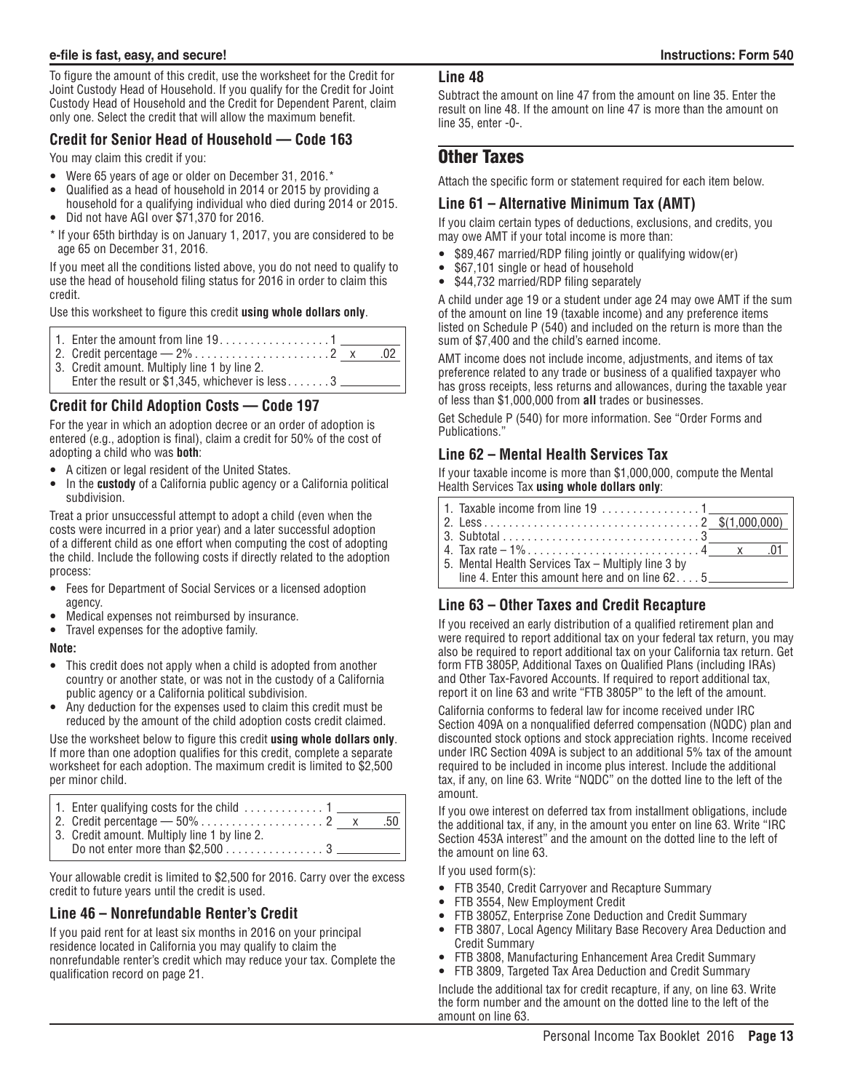To figure the amount of this credit, use the worksheet for the Credit for Joint Custody Head of Household. If you qualify for the Credit for Joint Custody Head of Household and the Credit for Dependent Parent, claim only one. Select the credit that will allow the maximum benefit.

### **Credit for Senior Head of Household — Code 163**

You may claim this credit if you:

- Were 65 years of age or older on December 31, 2016.\*
- Qualified as a head of household in 2014 or 2015 by providing a household for a qualifying individual who died during 2014 or 2015.
- Did not have AGI over \$71,370 for 2016.

\* If your 65th birthday is on January 1, 2017, you are considered to be age 65 on December 31, 2016.

If you meet all the conditions listed above, you do not need to qualify to use the head of household filing status for 2016 in order to claim this credit.

Use this worksheet to figure this credit **using whole dollars only**.

|                                              | - 02 |
|----------------------------------------------|------|
| 3. Credit amount. Multiply line 1 by line 2. |      |
|                                              |      |

# **Credit for Child Adoption Costs — Code 197**

For the year in which an adoption decree or an order of adoption is entered (e.g., adoption is final), claim a credit for 50% of the cost of adopting a child who was **both**:

- A citizen or legal resident of the United States.
- In the **custody** of a California public agency or a California political subdivision.

Treat a prior unsuccessful attempt to adopt a child (even when the costs were incurred in a prior year) and a later successful adoption of a different child as one effort when computing the cost of adopting the child. Include the following costs if directly related to the adoption process:

- Fees for Department of Social Services or a licensed adoption agency.
- Medical expenses not reimbursed by insurance.
- Travel expenses for the adoptive family.

#### **Note:**

- This credit does not apply when a child is adopted from another country or another state, or was not in the custody of a California public agency or a California political subdivision.
- Any deduction for the expenses used to claim this credit must be reduced by the amount of the child adoption costs credit claimed.

Use the worksheet below to figure this credit **using whole dollars only**. If more than one adoption qualifies for this credit, complete a separate worksheet for each adoption. The maximum credit is limited to \$2,500 per minor child.

| 1. Enter qualifying costs for the child $\ldots \ldots \ldots \ldots 1$ | .50 |
|-------------------------------------------------------------------------|-----|
| 3. Credit amount. Multiply line 1 by line 2.                            |     |
|                                                                         |     |

Your allowable credit is limited to \$2,500 for 2016. Carry over the excess credit to future years until the credit is used.

### **Line 46 – Nonrefundable Renter's Credit**

If you paid rent for at least six months in 2016 on your principal residence located in California you may qualify to claim the nonrefundable renter's credit which may reduce your tax. Complete the qualification record on page 21.

#### **Line 48**

Subtract the amount on line 47 from the amount on line 35. Enter the result on line 48. If the amount on line 47 is more than the amount on line 35, enter -0-.

# Other Taxes

Attach the specific form or statement required for each item below.

### **Line 61 – Alternative Minimum Tax (AMT)**

If you claim certain types of deductions, exclusions, and credits, you may owe AMT if your total income is more than:

- \$89,467 married/RDP filing jointly or qualifying widow(er)
- \$67,101 single or head of household
- \$44,732 married/RDP filing separately

A child under age 19 or a student under age 24 may owe AMT if the sum of the amount on line 19 (taxable income) and any preference items listed on Schedule P (540) and included on the return is more than the sum of \$7,400 and the child's earned income.

AMT income does not include income, adjustments, and items of tax preference related to any trade or business of a qualified taxpayer who has gross receipts, less returns and allowances, during the taxable year of less than \$1,000,000 from **all** trades or businesses.

Get Schedule P (540) for more information. See "Order Forms and Publications."

### **Line 62 – Mental Health Services Tax**

If your taxable income is more than \$1,000,000, compute the Mental Health Services Tax **using whole dollars only**:

| 1. Taxable income from line $19, \ldots, \ldots, \ldots, 1$ |  |  |
|-------------------------------------------------------------|--|--|
|                                                             |  |  |
|                                                             |  |  |
|                                                             |  |  |
| 5. Mental Health Services Tax - Multiply line 3 by          |  |  |
| line 4. Enter this amount here and on line $62, \ldots, 5$  |  |  |

## **Line 63 – Other Taxes and Credit Recapture**

If you received an early distribution of a qualified retirement plan and were required to report additional tax on your federal tax return, you may also be required to report additional tax on your California tax return. Get form FTB 3805P, Additional Taxes on Qualified Plans (including IRAs) and Other Tax-Favored Accounts. If required to report additional tax, report it on line 63 and write "FTB 3805P" to the left of the amount.

California conforms to federal law for income received under IRC Section 409A on a nonqualified deferred compensation (NQDC) plan and discounted stock options and stock appreciation rights. Income received under IRC Section 409A is subject to an additional 5% tax of the amount required to be included in income plus interest. Include the additional tax, if any, on line 63. Write "NQDC" on the dotted line to the left of the amount.

If you owe interest on deferred tax from installment obligations, include the additional tax, if any, in the amount you enter on line 63. Write "IRC Section 453A interest" and the amount on the dotted line to the left of the amount on line 63.

If you used form(s):

- FTB 3540, Credit Carryover and Recapture Summary
- FTB 3554, New Employment Credit
- FTB 3805Z, Enterprise Zone Deduction and Credit Summary
- FTB 3807, Local Agency Military Base Recovery Area Deduction and Credit Summary
- FTB 3808, Manufacturing Enhancement Area Credit Summary
- FTB 3809, Targeted Tax Area Deduction and Credit Summary

Include the additional tax for credit recapture, if any, on line 63. Write the form number and the amount on the dotted line to the left of the amount on line 63.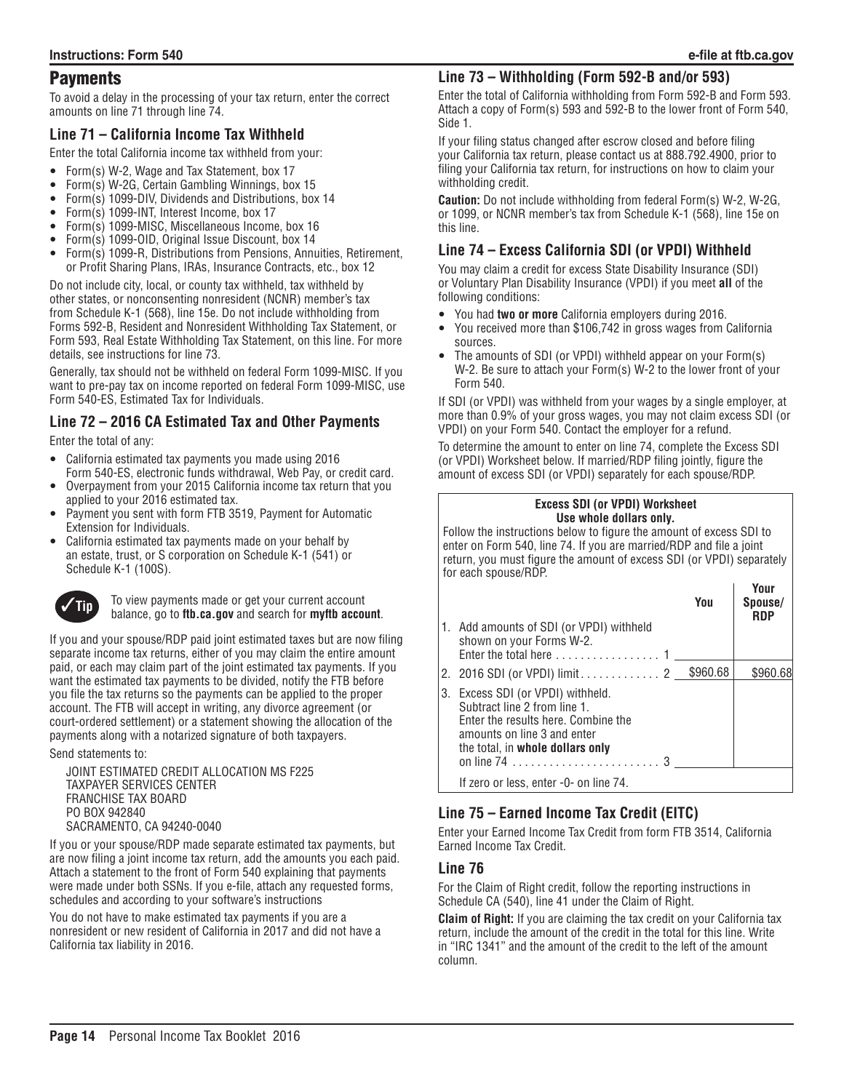## **Payments**

To avoid a delay in the processing of your tax return, enter the correct amounts on line 71 through line 74.

## **Line 71 – California Income Tax Withheld**

Enter the total California income tax withheld from your:

- Form(s) W-2, Wage and Tax Statement, box 17
- Form(s) W-2G, Certain Gambling Winnings, box 15
- Form(s) 1099-DIV, Dividends and Distributions, box 14
- Form(s) 1099-INT, Interest Income, box 17<br>● Form(s) 1099-MISC, Miscellaneous Income
- Form(s) 1099-MISC, Miscellaneous Income, box 16
- Form(s) 1099-OID, Original Issue Discount, box 14
- Form(s) 1099-R, Distributions from Pensions, Annuities, Retirement, or Profit Sharing Plans, IRAs, Insurance Contracts, etc., box 12

Do not include city, local, or county tax withheld, tax withheld by other states, or nonconsenting nonresident (NCNR) member's tax from Schedule K-1 (568), line 15e. Do not include withholding from Forms 592-B, Resident and Nonresident Withholding Tax Statement, or Form 593, Real Estate Withholding Tax Statement, on this line. For more details, see instructions for line 73.

Generally, tax should not be withheld on federal Form 1099-MISC. If you want to pre-pay tax on income reported on federal Form 1099-MISC, use Form 540-ES, Estimated Tax for Individuals.

# **Line 72 – 2016 CA Estimated Tax and Other Payments**

Enter the total of any:

- California estimated tax payments you made using 2016 Form 540-ES, electronic funds withdrawal, Web Pay, or credit card.
- Overpayment from your 2015 California income tax return that you applied to your 2016 estimated tax.
- Payment you sent with form FTB 3519, Payment for Automatic Extension for Individuals.
- California estimated tax payments made on your behalf by an estate, trust, or S corporation on Schedule K-1 (541) or Schedule K-1 (100S).



**Tip** To view payments made or get your current account balance, go to **ftb.ca.gov** and search for **myftb account**.

If you and your spouse/RDP paid joint estimated taxes but are now filing separate income tax returns, either of you may claim the entire amount paid, or each may claim part of the joint estimated tax payments. If you want the estimated tax payments to be divided, notify the FTB before you file the tax returns so the payments can be applied to the proper account. The FTB will accept in writing, any divorce agreement (or court-ordered settlement) or a statement showing the allocation of the payments along with a notarized signature of both taxpayers.

Send statements to:

JOINT ESTIMATED CREDIT ALLOCATION MS F225 TAXPAYER SERVICES CENTER FRANCHISE TAX BOARD PO BOX 942840 SACRAMENTO, CA 94240-0040

If you or your spouse/RDP made separate estimated tax payments, but are now filing a joint income tax return, add the amounts you each paid. Attach a statement to the front of Form 540 explaining that payments were made under both SSNs. If you e-file, attach any requested forms, schedules and according to your software's instructions

You do not have to make estimated tax payments if you are a nonresident or new resident of California in 2017 and did not have a California tax liability in 2016.

## **Line 73 – Withholding (Form 592-B and/or 593)**

Enter the total of California withholding from Form 592-B and Form 593. Attach a copy of Form(s) 593 and 592-B to the lower front of Form 540, Side 1.

If your filing status changed after escrow closed and before filing your California tax return, please contact us at 888.792.4900, prior to filing your California tax return, for instructions on how to claim your withholding credit.

**Caution:** Do not include withholding from federal Form(s) W-2, W-2G, or 1099, or NCNR member's tax from Schedule K-1 (568), line 15e on this line.

## **Line 74 – Excess California SDI (or VPDI) Withheld**

You may claim a credit for excess State Disability Insurance (SDI) or Voluntary Plan Disability Insurance (VPDI) if you meet **all** of the following conditions:

- You had **two or more** California employers during 2016.
- You received more than \$106,742 in gross wages from California sources.
- The amounts of SDI (or VPDI) withheld appear on your Form(s) W-2. Be sure to attach your Form(s) W-2 to the lower front of your Form 540.

If SDI (or VPDI) was withheld from your wages by a single employer, at more than 0.9% of your gross wages, you may not claim excess SDI (or VPDI) on your Form 540. Contact the employer for a refund.

To determine the amount to enter on line 74, complete the Excess SDI (or VPDI) Worksheet below. If married/RDP filing jointly, figure the amount of excess SDI (or VPDI) separately for each spouse/RDP.

#### **Excess SDI (or VPDI) Worksheet Use whole dollars only.**

Follow the instructions below to figure the amount of excess SDI to enter on Form 540, line 74. If you are married/RDP and file a joint return, you must figure the amount of excess SDI (or VPDI) separately for each spouse/RDP.

|      |                                                                                                                                                                             | You | Your<br>Spouse/<br><b>RDP</b> |
|------|-----------------------------------------------------------------------------------------------------------------------------------------------------------------------------|-----|-------------------------------|
| ، 1، | Add amounts of SDI (or VPDI) withheld<br>shown on your Forms W-2.                                                                                                           |     |                               |
|      | 2. 2016 SDI (or VPDI) limit 2 5960.68                                                                                                                                       |     | \$960.68                      |
|      | 3. Excess SDI (or VPDI) withheld.<br>Subtract line 2 from line 1.<br>Enter the results here. Combine the<br>amounts on line 3 and enter<br>the total, in whole dollars only |     |                               |
|      | If zero or less, enter -0- on line 74.                                                                                                                                      |     |                               |

# **Line 75 – Earned Income Tax Credit (EITC)**

Enter your Earned Income Tax Credit from form FTB 3514, California Earned Income Tax Credit.

### **Line 76**

For the Claim of Right credit, follow the reporting instructions in Schedule CA (540), line 41 under the Claim of Right.

**Claim of Right:** If you are claiming the tax credit on your California tax return, include the amount of the credit in the total for this line. Write in "IRC 1341" and the amount of the credit to the left of the amount column.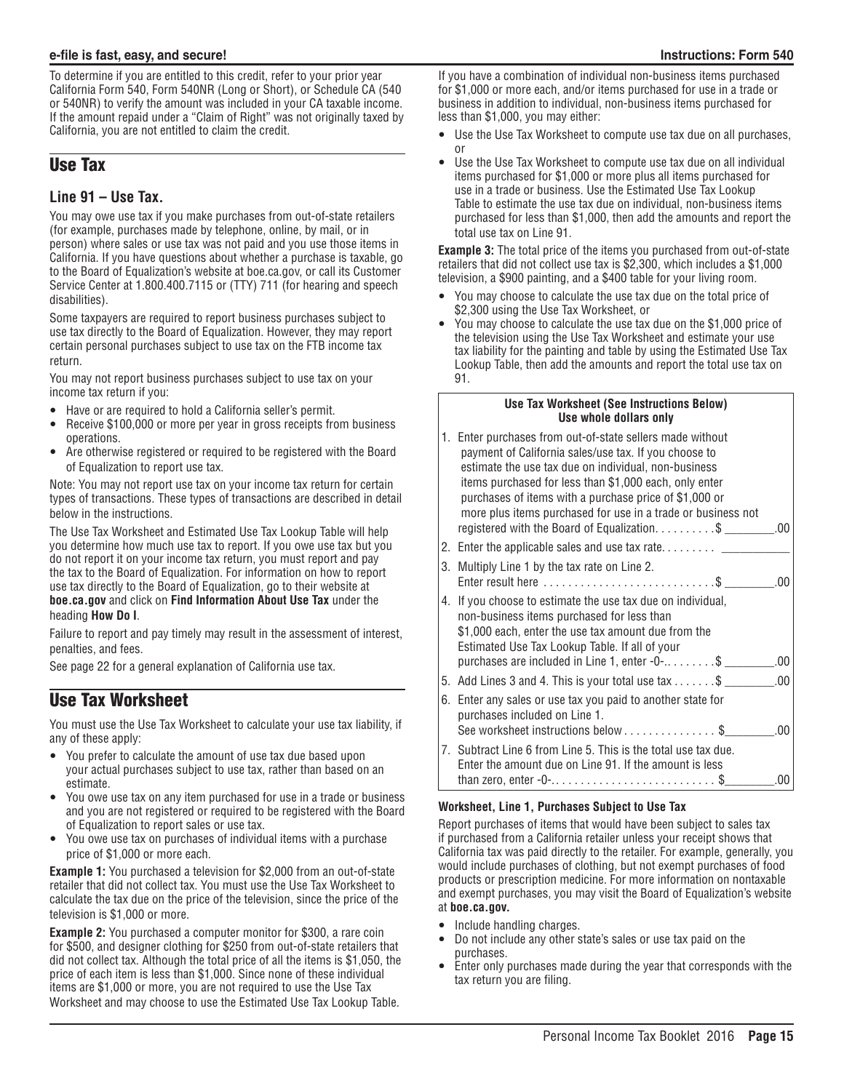To determine if you are entitled to this credit, refer to your prior year California Form 540, Form 540NR (Long or Short), or Schedule CA (540 or 540NR) to verify the amount was included in your CA taxable income. If the amount repaid under a "Claim of Right" was not originally taxed by California, you are not entitled to claim the credit.

# Use Tax

## **Line 91 – Use Tax.**

You may owe use tax if you make purchases from out-of-state retailers (for example, purchases made by telephone, online, by mail, or in person) where sales or use tax was not paid and you use those items in California. If you have questions about whether a purchase is taxable, go to the Board of Equalization's website at boe.ca.gov, or call its Customer Service Center at 1.800.400.7115 or (TTY) 711 (for hearing and speech disabilities).

Some taxpayers are required to report business purchases subject to use tax directly to the Board of Equalization. However, they may report certain personal purchases subject to use tax on the FTB income tax return.

You may not report business purchases subject to use tax on your income tax return if you:

- Have or are required to hold a California seller's permit.
- Receive \$100,000 or more per year in gross receipts from business operations.
- Are otherwise registered or required to be registered with the Board of Equalization to report use tax.

Note: You may not report use tax on your income tax return for certain types of transactions. These types of transactions are described in detail below in the instructions.

The Use Tax Worksheet and Estimated Use Tax Lookup Table will help you determine how much use tax to report. If you owe use tax but you do not report it on your income tax return, you must report and pay the tax to the Board of Equalization. For information on how to report use tax directly to the Board of Equalization, go to their website at **boe.ca.gov** and click on **Find Information About Use Tax** under the heading **How Do I**.

Failure to report and pay timely may result in the assessment of interest, penalties, and fees.

See page 22 for a general explanation of California use tax.

# Use Tax Worksheet

You must use the Use Tax Worksheet to calculate your use tax liability, if any of these apply:

- You prefer to calculate the amount of use tax due based upon your actual purchases subject to use tax, rather than based on an estimate.
- You owe use tax on any item purchased for use in a trade or business and you are not registered or required to be registered with the Board of Equalization to report sales or use tax.
- You owe use tax on purchases of individual items with a purchase price of \$1,000 or more each.

**Example 1:** You purchased a television for \$2,000 from an out-of-state retailer that did not collect tax. You must use the Use Tax Worksheet to calculate the tax due on the price of the television, since the price of the television is \$1,000 or more.

**Example 2:** You purchased a computer monitor for \$300, a rare coin for \$500, and designer clothing for \$250 from out-of-state retailers that did not collect tax. Although the total price of all the items is \$1,050, the price of each item is less than \$1,000. Since none of these individual items are \$1,000 or more, you are not required to use the Use Tax Worksheet and may choose to use the Estimated Use Tax Lookup Table.

If you have a combination of individual non-business items purchased for \$1,000 or more each, and/or items purchased for use in a trade or business in addition to individual, non-business items purchased for less than \$1,000, you may either:

- Use the Use Tax Worksheet to compute use tax due on all purchases, or
- Use the Use Tax Worksheet to compute use tax due on all individual items purchased for \$1,000 or more plus all items purchased for use in a trade or business. Use the Estimated Use Tax Lookup Table to estimate the use tax due on individual, non-business items purchased for less than \$1,000, then add the amounts and report the total use tax on Line 91.

**Example 3:** The total price of the items you purchased from out-of-state retailers that did not collect use tax is \$2,300, which includes a \$1,000 television, a \$900 painting, and a \$400 table for your living room.

- You may choose to calculate the use tax due on the total price of \$2,300 using the Use Tax Worksheet, or
- You may choose to calculate the use tax due on the \$1,000 price of the television using the Use Tax Worksheet and estimate your use tax liability for the painting and table by using the Estimated Use Tax Lookup Table, then add the amounts and report the total use tax on 91.

#### **Use Tax Worksheet (See Instructions Below) Use whole dollars only**

|    | 1. Enter purchases from out-of-state sellers made without<br>payment of California sales/use tax. If you choose to<br>estimate the use tax due on individual, non-business<br>items purchased for less than \$1,000 each, only enter<br>purchases of items with a purchase price of \$1,000 or<br>more plus items purchased for use in a trade or business not |  |
|----|----------------------------------------------------------------------------------------------------------------------------------------------------------------------------------------------------------------------------------------------------------------------------------------------------------------------------------------------------------------|--|
|    | registered with the Board of Equalization. $\dots \dots \dots$<br>.00                                                                                                                                                                                                                                                                                          |  |
|    | 2. Enter the applicable sales and use tax rate $\frac{1}{1}$                                                                                                                                                                                                                                                                                                   |  |
| 3. | Multiply Line 1 by the tax rate on Line 2.<br>Enter result here $\dots\dots\dots\dots\dots\dots\dots\dots\dots$ \$<br>$-.00$                                                                                                                                                                                                                                   |  |
|    | 4. If you choose to estimate the use tax due on individual,<br>non-business items purchased for less than<br>\$1,000 each, enter the use tax amount due from the<br>Estimated Use Tax Lookup Table. If all of your<br>purchases are included in Line 1, enter $-0$ - $\dots$ \$<br>.00                                                                         |  |
|    | 5. Add Lines 3 and 4. This is your total use tax $\dots \dots$<br>.00                                                                                                                                                                                                                                                                                          |  |
| 6. | Enter any sales or use tax you paid to another state for<br>purchases included on Line 1.<br>See worksheet instructions below \$<br>.00                                                                                                                                                                                                                        |  |
|    | 7. Subtract Line 6 from Line 5. This is the total use tax due.<br>Enter the amount due on Line 91. If the amount is less<br>.00<br>than zero, enter $-0$ -\$                                                                                                                                                                                                   |  |

### **Worksheet, Line 1, Purchases Subject to Use Tax**

Report purchases of items that would have been subject to sales tax if purchased from a California retailer unless your receipt shows that California tax was paid directly to the retailer. For example, generally, you would include purchases of clothing, but not exempt purchases of food products or prescription medicine. For more information on nontaxable and exempt purchases, you may visit the Board of Equalization's website at **boe.ca.gov.**

- Include handling charges.
- Do not include any other state's sales or use tax paid on the purchases.
- Enter only purchases made during the year that corresponds with the tax return you are filing.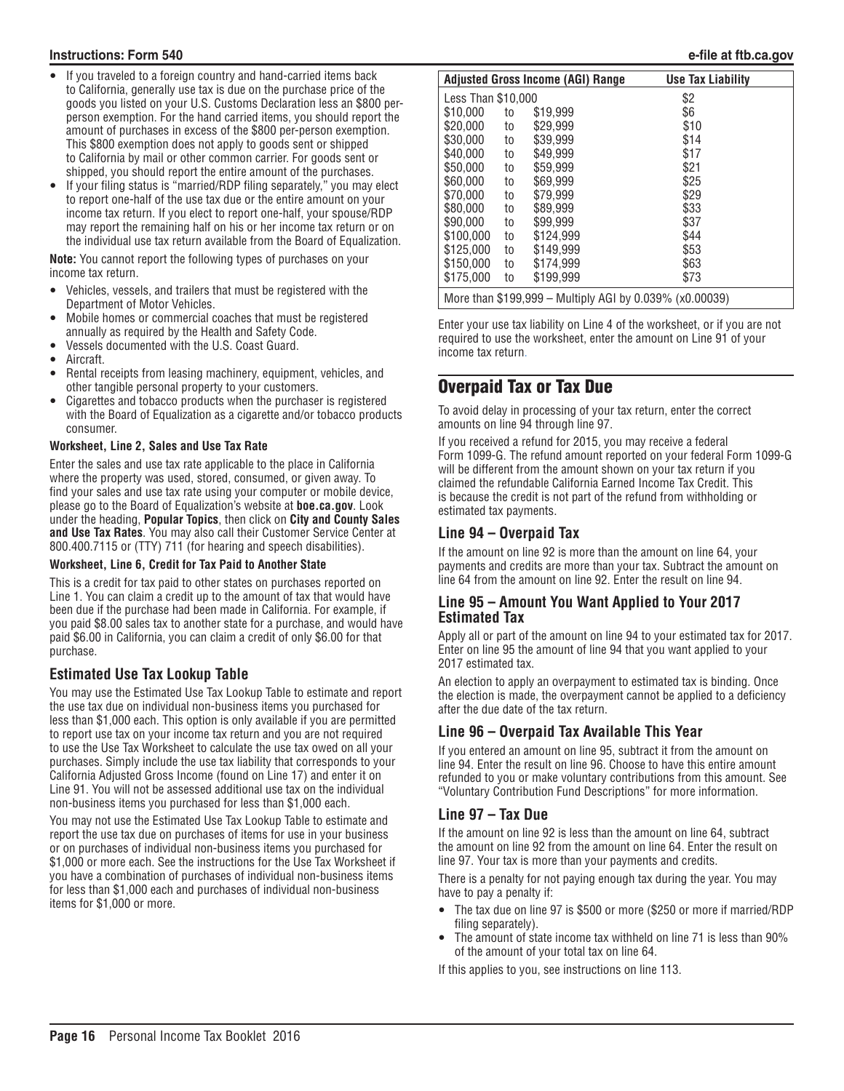#### **Instructions: Form 540 e-file at ftb.ca.gov**

- If you traveled to a foreign country and hand-carried items back to California, generally use tax is due on the purchase price of the goods you listed on your U.S. Customs Declaration less an \$800 perperson exemption. For the hand carried items, you should report the amount of purchases in excess of the \$800 per-person exemption. This \$800 exemption does not apply to goods sent or shipped to California by mail or other common carrier. For goods sent or shipped, you should report the entire amount of the purchases.
- If your filing status is "married/RDP filing separately," you may elect to report one-half of the use tax due or the entire amount on your income tax return. If you elect to report one-half, your spouse/RDP may report the remaining half on his or her income tax return or on the individual use tax return available from the Board of Equalization.

**Note:** You cannot report the following types of purchases on your income tax return.

- y Vehicles, vessels, and trailers that must be registered with the Department of Motor Vehicles.
- Mobile homes or commercial coaches that must be registered annually as required by the Health and Safety Code.
- y Vessels documented with the U.S. Coast Guard.
- Aircraft.
- Rental receipts from leasing machinery, equipment, vehicles, and other tangible personal property to your customers.
- Cigarettes and tobacco products when the purchaser is registered with the Board of Equalization as a cigarette and/or tobacco products consumer.

#### **Worksheet, Line 2, Sales and Use Tax Rate**

Enter the sales and use tax rate applicable to the place in California where the property was used, stored, consumed, or given away. To find your sales and use tax rate using your computer or mobile device, please go to the Board of Equalization's website at **boe.ca.gov**. Look under the heading, **Popular Topics**, then click on **City and County Sales and Use Tax Rates**. You may also call their Customer Service Center at 800.400.7115 or (TTY) 711 (for hearing and speech disabilities).

#### **Worksheet, Line 6, Credit for Tax Paid to Another State**

This is a credit for tax paid to other states on purchases reported on Line 1. You can claim a credit up to the amount of tax that would have been due if the purchase had been made in California. For example, if you paid \$8.00 sales tax to another state for a purchase, and would have paid \$6.00 in California, you can claim a credit of only \$6.00 for that purchase.

## **Estimated Use Tax Lookup Table**

You may use the Estimated Use Tax Lookup Table to estimate and report the use tax due on individual non-business items you purchased for less than \$1,000 each. This option is only available if you are permitted to report use tax on your income tax return and you are not required to use the Use Tax Worksheet to calculate the use tax owed on all your purchases. Simply include the use tax liability that corresponds to your California Adjusted Gross Income (found on Line 17) and enter it on Line 91. You will not be assessed additional use tax on the individual non-business items you purchased for less than \$1,000 each.

You may not use the Estimated Use Tax Lookup Table to estimate and report the use tax due on purchases of items for use in your business or on purchases of individual non-business items you purchased for \$1,000 or more each. See the instructions for the Use Tax Worksheet if you have a combination of purchases of individual non-business items for less than \$1,000 each and purchases of individual non-business items for \$1,000 or more.

|                                                         |    | <b>Adjusted Gross Income (AGI) Range</b> | <b>Use Tax Liability</b> |  |  |  |  |
|---------------------------------------------------------|----|------------------------------------------|--------------------------|--|--|--|--|
| Less Than \$10,000                                      |    |                                          | \$2                      |  |  |  |  |
| \$10.000                                                | to | \$19.999                                 | \$6                      |  |  |  |  |
| \$20,000                                                | to | \$29.999                                 | \$10                     |  |  |  |  |
| \$30,000                                                | to | \$39.999                                 | \$14                     |  |  |  |  |
| \$40.000                                                | to | \$49.999                                 | \$17                     |  |  |  |  |
| \$50.000                                                | to | \$59,999                                 | \$21                     |  |  |  |  |
| \$60,000                                                | to | \$69.999                                 | \$25                     |  |  |  |  |
| \$70,000                                                | to | \$79.999                                 | \$29                     |  |  |  |  |
| \$80,000                                                | to | \$89.999                                 | \$33                     |  |  |  |  |
| \$90,000                                                | to | \$99.999                                 | \$37                     |  |  |  |  |
| \$100.000                                               | to | \$124.999                                | \$44                     |  |  |  |  |
| \$125.000                                               | to | \$149,999                                | \$53                     |  |  |  |  |
| \$150.000                                               | to | \$174.999                                | \$63                     |  |  |  |  |
| \$175.000                                               | to | \$199.999                                | \$73                     |  |  |  |  |
| More than \$199,999 - Multiply AGI by 0.039% (x0.00039) |    |                                          |                          |  |  |  |  |

Enter your use tax liability on Line 4 of the worksheet, or if you are not required to use the worksheet, enter the amount on Line 91 of your income tax return.

# Overpaid Tax or Tax Due

To avoid delay in processing of your tax return, enter the correct amounts on line 94 through line 97.

If you received a refund for 2015, you may receive a federal Form 1099-G. The refund amount reported on your federal Form 1099-G will be different from the amount shown on your tax return if you claimed the refundable California Earned Income Tax Credit. This is because the credit is not part of the refund from withholding or estimated tax payments.

### **Line 94 – Overpaid Tax**

If the amount on line 92 is more than the amount on line 64, your payments and credits are more than your tax. Subtract the amount on line 64 from the amount on line 92. Enter the result on line 94.

### **Line 95 – Amount You Want Applied to Your 2017 Estimated Tax**

Apply all or part of the amount on line 94 to your estimated tax for 2017. Enter on line 95 the amount of line 94 that you want applied to your 2017 estimated tax.

An election to apply an overpayment to estimated tax is binding. Once the election is made, the overpayment cannot be applied to a deficiency after the due date of the tax return.

## **Line 96 – Overpaid Tax Available This Year**

If you entered an amount on line 95, subtract it from the amount on line 94. Enter the result on line 96. Choose to have this entire amount refunded to you or make voluntary contributions from this amount. See "Voluntary Contribution Fund Descriptions" for more information.

### **Line 97 – Tax Due**

If the amount on line 92 is less than the amount on line 64, subtract the amount on line 92 from the amount on line 64. Enter the result on line 97. Your tax is more than your payments and credits.

There is a penalty for not paying enough tax during the year. You may have to pay a penalty if:

- The tax due on line 97 is \$500 or more (\$250 or more if married/RDP filing separately).
- The amount of state income tax withheld on line 71 is less than 90% of the amount of your total tax on line 64.

If this applies to you, see instructions on line 113.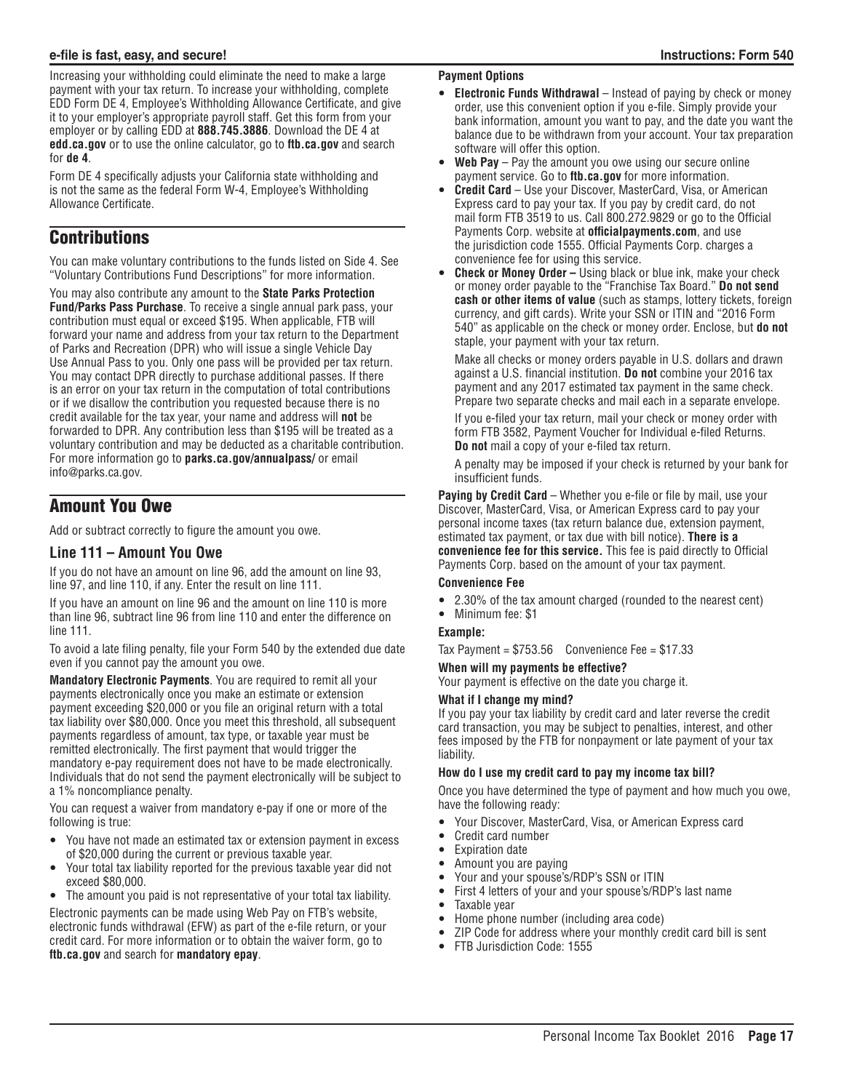Increasing your withholding could eliminate the need to make a large payment with your tax return. To increase your withholding, complete EDD Form DE 4, Employee's Withholding Allowance Certificate, and give it to your employer's appropriate payroll staff. Get this form from your employer or by calling EDD at **888.745.3886**. Download the DE 4 at **edd.ca.gov** or to use the online calculator, go to **ftb.ca.gov** and search for **de 4**.

Form DE 4 specifically adjusts your California state withholding and is not the same as the federal Form W-4, Employee's Withholding Allowance Certificate.

# **Contributions**

You can make voluntary contributions to the funds listed on Side 4. See "Voluntary Contributions Fund Descriptions" for more information.

You may also contribute any amount to the **State Parks Protection Fund/Parks Pass Purchase**. To receive a single annual park pass, your contribution must equal or exceed \$195. When applicable, FTB will forward your name and address from your tax return to the Department of Parks and Recreation (DPR) who will issue a single Vehicle Day Use Annual Pass to you. Only one pass will be provided per tax return. You may contact DPR directly to purchase additional passes. If there is an error on your tax return in the computation of total contributions or if we disallow the contribution you requested because there is no credit available for the tax year, your name and address will **not** be forwarded to DPR. Any contribution less than \$195 will be treated as a voluntary contribution and may be deducted as a charitable contribution. For more information go to **parks.ca.gov/annualpass/** or email info@parks.ca.gov.

# Amount You Owe

Add or subtract correctly to figure the amount you owe.

#### **Line 111 – Amount You Owe**

If you do not have an amount on line 96, add the amount on line 93, line 97, and line 110, if any. Enter the result on line 111.

If you have an amount on line 96 and the amount on line 110 is more than line 96, subtract line 96 from line 110 and enter the difference on line 111.

To avoid a late filing penalty, file your Form 540 by the extended due date even if you cannot pay the amount you owe.

**Mandatory Electronic Payments**. You are required to remit all your payments electronically once you make an estimate or extension payment exceeding \$20,000 or you file an original return with a total tax liability over \$80,000. Once you meet this threshold, all subsequent payments regardless of amount, tax type, or taxable year must be remitted electronically. The first payment that would trigger the mandatory e-pay requirement does not have to be made electronically. Individuals that do not send the payment electronically will be subject to a 1% noncompliance penalty.

You can request a waiver from mandatory e-pay if one or more of the following is true:

- You have not made an estimated tax or extension payment in excess of \$20,000 during the current or previous taxable year.
- y Your total tax liability reported for the previous taxable year did not exceed \$80,000.
- The amount you paid is not representative of your total tax liability.

Electronic payments can be made using Web Pay on FTB's website, electronic funds withdrawal (EFW) as part of the e-file return, or your credit card. For more information or to obtain the waiver form, go to **ftb.ca.gov** and search for **mandatory epay**.

#### **Payment Options**

- **Electronic Funds Withdrawal** Instead of paying by check or money order, use this convenient option if you e-file. Simply provide your bank information, amount you want to pay, and the date you want the balance due to be withdrawn from your account. Your tax preparation software will offer this option.
- Web Pay Pay the amount you owe using our secure online payment service. Go to **ftb.ca.gov** for more information.
- Credit Card Use your Discover, MasterCard, Visa, or American Express card to pay your tax. If you pay by credit card, do not mail form FTB 3519 to us. Call 800.272.9829 or go to the Official Payments Corp. website at **officialpayments.com**, and use the jurisdiction code 1555. Official Payments Corp. charges a convenience fee for using this service.
- **Check or Money Order Using black or blue ink, make your check** or money order payable to the "Franchise Tax Board." **Do not send cash or other items of value** (such as stamps, lottery tickets, foreign currency, and gift cards). Write your SSN or ITIN and "2016 Form 540" as applicable on the check or money order. Enclose, but **do not** staple, your payment with your tax return.

Make all checks or money orders payable in U.S. dollars and drawn against a U.S. financial institution. **Do not** combine your 2016 tax payment and any 2017 estimated tax payment in the same check. Prepare two separate checks and mail each in a separate envelope.

If you e-filed your tax return, mail your check or money order with form FTB 3582, Payment Voucher for Individual e-filed Returns. **Do not** mail a copy of your e-filed tax return.

A penalty may be imposed if your check is returned by your bank for insufficient funds.

**Paying by Credit Card** – Whether you e-file or file by mail, use your Discover, MasterCard, Visa, or American Express card to pay your personal income taxes (tax return balance due, extension payment, estimated tax payment, or tax due with bill notice). **There is a convenience fee for this service.** This fee is paid directly to Official Payments Corp. based on the amount of your tax payment.

#### **Convenience Fee**

- 2.30% of the tax amount charged (rounded to the nearest cent)
- Minimum fee: \$1

#### **Example:**

Tax Payment =  $$753.56$  Convenience Fee =  $$17.33$ 

#### **When will my payments be effective?**

Your payment is effective on the date you charge it.

#### **What if I change my mind?**

If you pay your tax liability by credit card and later reverse the credit card transaction, you may be subject to penalties, interest, and other fees imposed by the FTB for nonpayment or late payment of your tax liability.

#### **How do I use my credit card to pay my income tax bill?**

Once you have determined the type of payment and how much you owe, have the following ready:

- y Your Discover, MasterCard, Visa, or American Express card
- Credit card number
- Expiration date
- Amount you are paying
- Your and your spouse's/RDP's SSN or ITIN
- First 4 letters of your and your spouse's/RDP's last name
- Taxable year
- Home phone number (including area code)
- ZIP Code for address where your monthly credit card bill is sent
- FTB Jurisdiction Code: 1555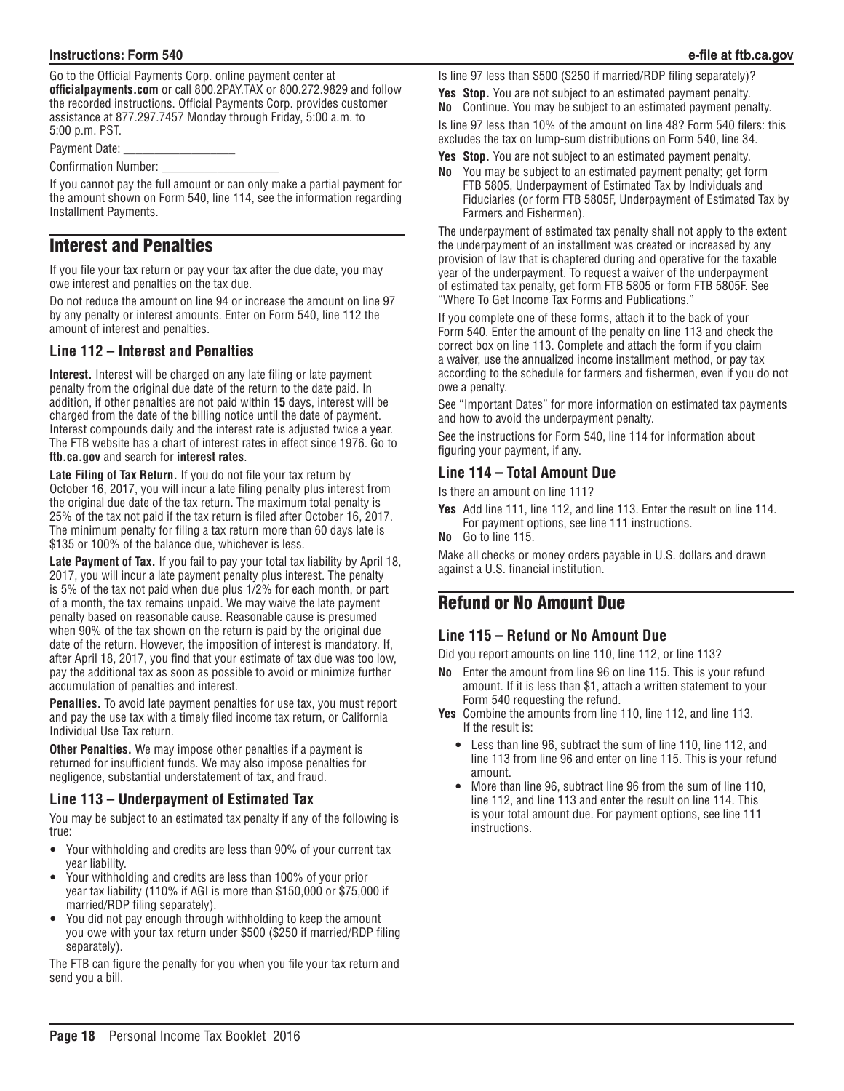Go to the Official Payments Corp. online payment center at **officialpayments.com** or call 800.2PAY.TAX or 800.272.9829 and follow the recorded instructions. Official Payments Corp. provides customer assistance at 877.297.7457 Monday through Friday, 5:00 a.m. to 5:00 p.m. PST.

Payment Date:

Confirmation Number:

If you cannot pay the full amount or can only make a partial payment for the amount shown on Form 540, line 114, see the information regarding Installment Payments.

# Interest and Penalties

If you file your tax return or pay your tax after the due date, you may owe interest and penalties on the tax due.

Do not reduce the amount on line 94 or increase the amount on line 97 by any penalty or interest amounts. Enter on Form 540, line 112 the amount of interest and penalties.

## **Line 112 – Interest and Penalties**

**Interest.** Interest will be charged on any late filing or late payment penalty from the original due date of the return to the date paid. In addition, if other penalties are not paid within **15** days, interest will be charged from the date of the billing notice until the date of payment. Interest compounds daily and the interest rate is adjusted twice a year. The FTB website has a chart of interest rates in effect since 1976. Go to **ftb.ca.gov** and search for **interest rates**.

**Late Filing of Tax Return.** If you do not file your tax return by October 16, 2017, you will incur a late filing penalty plus interest from the original due date of the tax return. The maximum total penalty is 25% of the tax not paid if the tax return is filed after October 16, 2017. The minimum penalty for filing a tax return more than 60 days late is \$135 or 100% of the balance due, whichever is less.

**Late Payment of Tax.** If you fail to pay your total tax liability by April 18, 2017, you will incur a late payment penalty plus interest. The penalty is 5% of the tax not paid when due plus 1/2% for each month, or part of a month, the tax remains unpaid. We may waive the late payment penalty based on reasonable cause. Reasonable cause is presumed when 90% of the tax shown on the return is paid by the original due date of the return. However, the imposition of interest is mandatory. If, after April 18, 2017, you find that your estimate of tax due was too low, pay the additional tax as soon as possible to avoid or minimize further accumulation of penalties and interest.

**Penalties.** To avoid late payment penalties for use tax, you must report and pay the use tax with a timely filed income tax return, or California Individual Use Tax return.

**Other Penalties.** We may impose other penalties if a payment is returned for insufficient funds. We may also impose penalties for negligence, substantial understatement of tax, and fraud.

## **Line 113 – Underpayment of Estimated Tax**

You may be subject to an estimated tax penalty if any of the following is true:

- Your withholding and credits are less than 90% of your current tax year liability.
- Your withholding and credits are less than 100% of your prior year tax liability (110% if AGI is more than \$150,000 or \$75,000 if married/RDP filing separately).
- You did not pay enough through withholding to keep the amount you owe with your tax return under \$500 (\$250 if married/RDP filing separately).

The FTB can figure the penalty for you when you file your tax return and send you a bill.

Is line 97 less than \$500 (\$250 if married/RDP filing separately)?

**Yes Stop.** You are not subject to an estimated payment penalty.

**No** Continue. You may be subject to an estimated payment penalty. Is line 97 less than 10% of the amount on line 48? Form 540 filers: this

excludes the tax on lump-sum distributions on Form 540, line 34.

- **Yes Stop.** You are not subject to an estimated payment penalty.
- **No** You may be subject to an estimated payment penalty; get form FTB 5805, Underpayment of Estimated Tax by Individuals and Fiduciaries (or form FTB 5805F, Underpayment of Estimated Tax by Farmers and Fishermen).

The underpayment of estimated tax penalty shall not apply to the extent the underpayment of an installment was created or increased by any provision of law that is chaptered during and operative for the taxable year of the underpayment. To request a waiver of the underpayment of estimated tax penalty, get form FTB 5805 or form FTB 5805F. See "Where To Get Income Tax Forms and Publications."

If you complete one of these forms, attach it to the back of your Form 540. Enter the amount of the penalty on line 113 and check the correct box on line 113. Complete and attach the form if you claim a waiver, use the annualized income installment method, or pay tax according to the schedule for farmers and fishermen, even if you do not owe a penalty.

See "Important Dates" for more information on estimated tax payments and how to avoid the underpayment penalty.

See the instructions for Form 540, line 114 for information about figuring your payment, if any.

## **Line 114 – Total Amount Due**

Is there an amount on line 111?

- **Yes** Add line 111, line 112, and line 113. Enter the result on line 114. For payment options, see line 111 instructions.
- **No** Go to line 115.

Make all checks or money orders payable in U.S. dollars and drawn against a U.S. financial institution.

# Refund or No Amount Due

### **Line 115 – Refund or No Amount Due**

Did you report amounts on line 110, line 112, or line 113?

- **No** Enter the amount from line 96 on line 115. This is your refund amount. If it is less than \$1, attach a written statement to your Form 540 requesting the refund.
- **Yes** Combine the amounts from line 110, line 112, and line 113. If the result is:
	- Less than line 96, subtract the sum of line 110, line 112, and line 113 from line 96 and enter on line 115. This is your refund amount.
	- More than line 96, subtract line 96 from the sum of line 110, line 112, and line 113 and enter the result on line 114. This is your total amount due. For payment options, see line 111 instructions.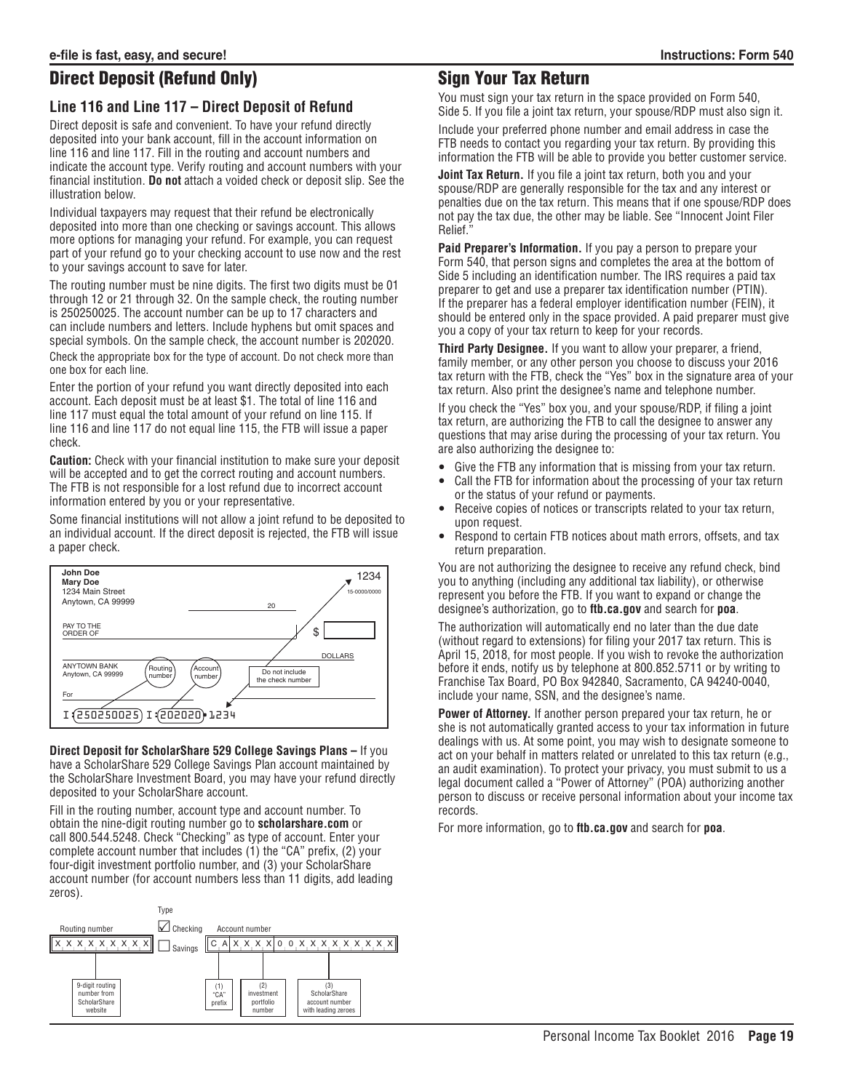# Direct Deposit (Refund Only)

## **Line 116 and Line 117 – Direct Deposit of Refund**

Direct deposit is safe and convenient. To have your refund directly deposited into your bank account, fill in the account information on line 116 and line 117. Fill in the routing and account numbers and indicate the account type. Verify routing and account numbers with your financial institution. **Do not** attach a voided check or deposit slip. See the illustration below.

Individual taxpayers may request that their refund be electronically deposited into more than one checking or savings account. This allows more options for managing your refund. For example, you can request part of your refund go to your checking account to use now and the rest to your savings account to save for later.

The routing number must be nine digits. The first two digits must be 01 through 12 or 21 through 32. On the sample check, the routing number is 250250025. The account number can be up to 17 characters and can include numbers and letters. Include hyphens but omit spaces and special symbols. On the sample check, the account number is 202020.

Check the appropriate box for the type of account. Do not check more than one box for each line.

Enter the portion of your refund you want directly deposited into each account. Each deposit must be at least \$1. The total of line 116 and line 117 must equal the total amount of your refund on line 115. If line 116 and line 117 do not equal line 115, the FTB will issue a paper check.

**Caution:** Check with your financial institution to make sure your deposit will be accepted and to get the correct routing and account numbers. The FTB is not responsible for a lost refund due to incorrect account information entered by you or your representative.

Some financial institutions will not allow a joint refund to be deposited to an individual account. If the direct deposit is rejected, the FTB will issue a paper check.



**Direct Deposit for ScholarShare 529 College Savings Plans –** If you have a ScholarShare 529 College Savings Plan account maintained by the ScholarShare Investment Board, you may have your refund directly deposited to your ScholarShare account.

Fill in the routing number, account type and account number. To obtain the nine-digit routing number go to **scholarshare.com** or call 800.544.5248. Check "Checking" as type of account. Enter your complete account number that includes (1) the "CA" prefix, (2) your four-digit investment portfolio number, and (3) your ScholarShare account number (for account numbers less than 11 digits, add leading zeros).



# Sign Your Tax Return

You must sign your tax return in the space provided on Form 540, Side 5. If you file a joint tax return, your spouse/RDP must also sign it.

Include your preferred phone number and email address in case the FTB needs to contact you regarding your tax return. By providing this information the FTB will be able to provide you better customer service.

**Joint Tax Return.** If you file a joint tax return, both you and your spouse/RDP are generally responsible for the tax and any interest or penalties due on the tax return. This means that if one spouse/RDP does not pay the tax due, the other may be liable. See "Innocent Joint Filer Relief."

**Paid Preparer's Information.** If you pay a person to prepare your Form 540, that person signs and completes the area at the bottom of Side 5 including an identification number. The IRS requires a paid tax preparer to get and use a preparer tax identification number (PTIN). If the preparer has a federal employer identification number (FEIN), it should be entered only in the space provided. A paid preparer must give you a copy of your tax return to keep for your records.

**Third Party Designee.** If you want to allow your preparer, a friend, family member, or any other person you choose to discuss your 2016 tax return with the FTB, check the "Yes" box in the signature area of your tax return. Also print the designee's name and telephone number.

If you check the "Yes" box you, and your spouse/RDP, if filing a joint tax return, are authorizing the FTB to call the designee to answer any questions that may arise during the processing of your tax return. You are also authorizing the designee to:

- Give the FTB any information that is missing from your tax return.
- Call the FTB for information about the processing of your tax return or the status of your refund or payments.
- Receive copies of notices or transcripts related to your tax return, upon request.
- Respond to certain FTB notices about math errors, offsets, and tax return preparation.

You are not authorizing the designee to receive any refund check, bind you to anything (including any additional tax liability), or otherwise represent you before the FTB. If you want to expand or change the designee's authorization, go to **ftb.ca.gov** and search for **poa**.

The authorization will automatically end no later than the due date (without regard to extensions) for filing your 2017 tax return. This is April 15, 2018, for most people. If you wish to revoke the authorization before it ends, notify us by telephone at 800.852.5711 or by writing to Franchise Tax Board, PO Box 942840, Sacramento, CA 94240-0040, include your name, SSN, and the designee's name.

**Power of Attorney.** If another person prepared your tax return, he or she is not automatically granted access to your tax information in future dealings with us. At some point, you may wish to designate someone to act on your behalf in matters related or unrelated to this tax return (e.g., an audit examination). To protect your privacy, you must submit to us a legal document called a "Power of Attorney" (POA) authorizing another person to discuss or receive personal information about your income tax records.

For more information, go to **ftb.ca.gov** and search for **poa**.